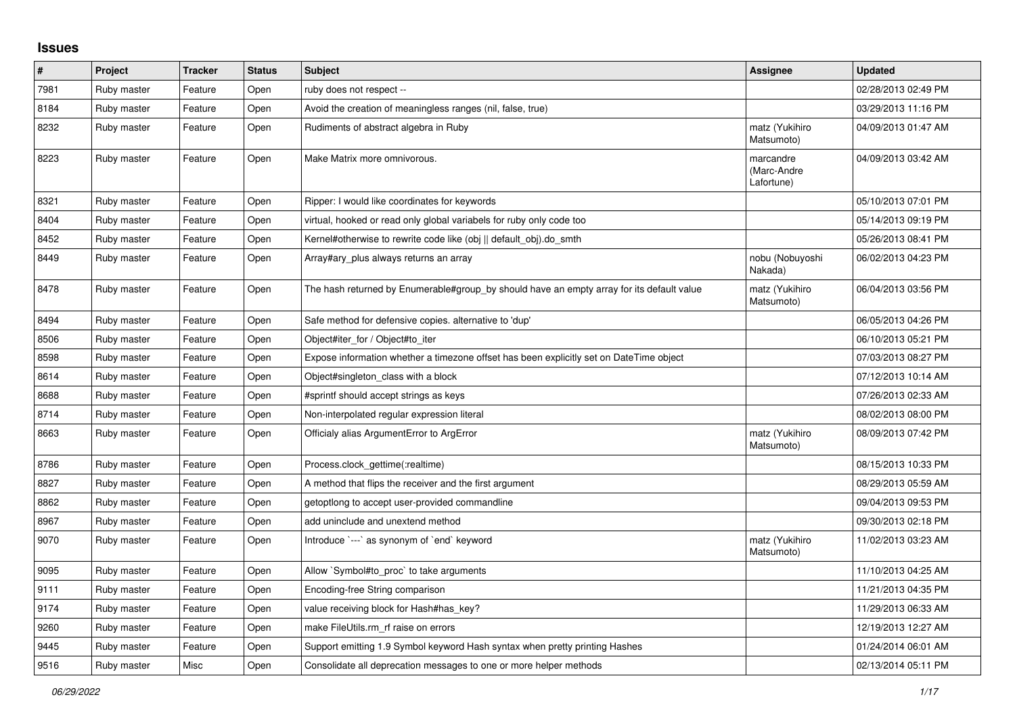## **Issues**

| $\vert$ # | Project     | <b>Tracker</b> | <b>Status</b> | <b>Subject</b>                                                                            | Assignee                               | <b>Updated</b>      |
|-----------|-------------|----------------|---------------|-------------------------------------------------------------------------------------------|----------------------------------------|---------------------|
| 7981      | Ruby master | Feature        | Open          | ruby does not respect --                                                                  |                                        | 02/28/2013 02:49 PM |
| 8184      | Ruby master | Feature        | Open          | Avoid the creation of meaningless ranges (nil, false, true)                               |                                        | 03/29/2013 11:16 PM |
| 8232      | Ruby master | Feature        | Open          | Rudiments of abstract algebra in Ruby                                                     | matz (Yukihiro<br>Matsumoto)           | 04/09/2013 01:47 AM |
| 8223      | Ruby master | Feature        | Open          | Make Matrix more omnivorous.                                                              | marcandre<br>(Marc-Andre<br>Lafortune) | 04/09/2013 03:42 AM |
| 8321      | Ruby master | Feature        | Open          | Ripper: I would like coordinates for keywords                                             |                                        | 05/10/2013 07:01 PM |
| 8404      | Ruby master | Feature        | Open          | virtual, hooked or read only global variabels for ruby only code too                      |                                        | 05/14/2013 09:19 PM |
| 8452      | Ruby master | Feature        | Open          | Kernel#otherwise to rewrite code like (obj    default obj).do smth                        |                                        | 05/26/2013 08:41 PM |
| 8449      | Ruby master | Feature        | Open          | Array#ary_plus always returns an array                                                    | nobu (Nobuyoshi<br>Nakada)             | 06/02/2013 04:23 PM |
| 8478      | Ruby master | Feature        | Open          | The hash returned by Enumerable#group_by should have an empty array for its default value | matz (Yukihiro<br>Matsumoto)           | 06/04/2013 03:56 PM |
| 8494      | Ruby master | Feature        | Open          | Safe method for defensive copies. alternative to 'dup'                                    |                                        | 06/05/2013 04:26 PM |
| 8506      | Ruby master | Feature        | Open          | Object#iter for / Object#to iter                                                          |                                        | 06/10/2013 05:21 PM |
| 8598      | Ruby master | Feature        | Open          | Expose information whether a timezone offset has been explicitly set on DateTime object   |                                        | 07/03/2013 08:27 PM |
| 8614      | Ruby master | Feature        | Open          | Object#singleton class with a block                                                       |                                        | 07/12/2013 10:14 AM |
| 8688      | Ruby master | Feature        | Open          | #sprintf should accept strings as keys                                                    |                                        | 07/26/2013 02:33 AM |
| 8714      | Ruby master | Feature        | Open          | Non-interpolated regular expression literal                                               |                                        | 08/02/2013 08:00 PM |
| 8663      | Ruby master | Feature        | Open          | Officialy alias ArgumentError to ArgError                                                 | matz (Yukihiro<br>Matsumoto)           | 08/09/2013 07:42 PM |
| 8786      | Ruby master | Feature        | Open          | Process.clock_gettime(:realtime)                                                          |                                        | 08/15/2013 10:33 PM |
| 8827      | Ruby master | Feature        | Open          | A method that flips the receiver and the first argument                                   |                                        | 08/29/2013 05:59 AM |
| 8862      | Ruby master | Feature        | Open          | getoptlong to accept user-provided commandline                                            |                                        | 09/04/2013 09:53 PM |
| 8967      | Ruby master | Feature        | Open          | add uninclude and unextend method                                                         |                                        | 09/30/2013 02:18 PM |
| 9070      | Ruby master | Feature        | Open          | Introduce `---` as synonym of `end` keyword                                               | matz (Yukihiro<br>Matsumoto)           | 11/02/2013 03:23 AM |
| 9095      | Ruby master | Feature        | Open          | Allow `Symbol#to_proc` to take arguments                                                  |                                        | 11/10/2013 04:25 AM |
| 9111      | Ruby master | Feature        | Open          | Encoding-free String comparison                                                           |                                        | 11/21/2013 04:35 PM |
| 9174      | Ruby master | Feature        | Open          | value receiving block for Hash#has key?                                                   |                                        | 11/29/2013 06:33 AM |
| 9260      | Ruby master | Feature        | Open          | make FileUtils.rm_rf raise on errors                                                      |                                        | 12/19/2013 12:27 AM |
| 9445      | Ruby master | Feature        | Open          | Support emitting 1.9 Symbol keyword Hash syntax when pretty printing Hashes               |                                        | 01/24/2014 06:01 AM |
| 9516      | Ruby master | Misc           | Open          | Consolidate all deprecation messages to one or more helper methods                        |                                        | 02/13/2014 05:11 PM |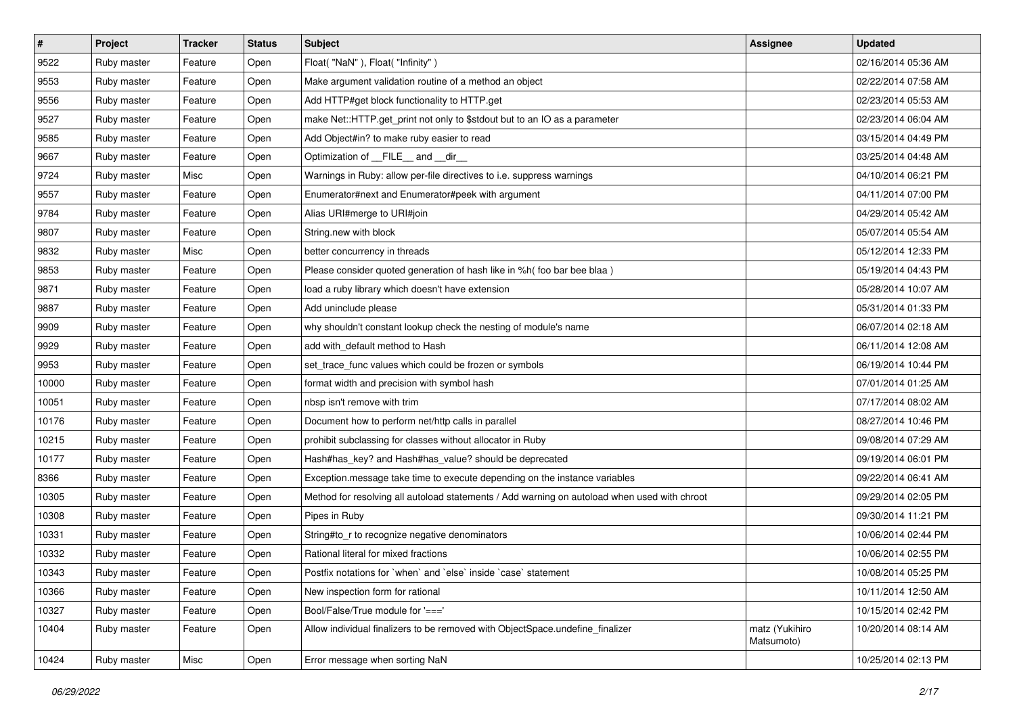| $\vert$ # | Project     | <b>Tracker</b> | <b>Status</b> | Subject                                                                                      | Assignee                     | <b>Updated</b>      |
|-----------|-------------|----------------|---------------|----------------------------------------------------------------------------------------------|------------------------------|---------------------|
| 9522      | Ruby master | Feature        | Open          | Float("NaN"), Float("Infinity")                                                              |                              | 02/16/2014 05:36 AM |
| 9553      | Ruby master | Feature        | Open          | Make argument validation routine of a method an object                                       |                              | 02/22/2014 07:58 AM |
| 9556      | Ruby master | Feature        | Open          | Add HTTP#get block functionality to HTTP.get                                                 |                              | 02/23/2014 05:53 AM |
| 9527      | Ruby master | Feature        | Open          | make Net::HTTP.get_print not only to \$stdout but to an IO as a parameter                    |                              | 02/23/2014 06:04 AM |
| 9585      | Ruby master | Feature        | Open          | Add Object#in? to make ruby easier to read                                                   |                              | 03/15/2014 04:49 PM |
| 9667      | Ruby master | Feature        | Open          | Optimization of FILE_and _dir_                                                               |                              | 03/25/2014 04:48 AM |
| 9724      | Ruby master | Misc           | Open          | Warnings in Ruby: allow per-file directives to i.e. suppress warnings                        |                              | 04/10/2014 06:21 PM |
| 9557      | Ruby master | Feature        | Open          | Enumerator#next and Enumerator#peek with argument                                            |                              | 04/11/2014 07:00 PM |
| 9784      | Ruby master | Feature        | Open          | Alias URI#merge to URI#join                                                                  |                              | 04/29/2014 05:42 AM |
| 9807      | Ruby master | Feature        | Open          | String.new with block                                                                        |                              | 05/07/2014 05:54 AM |
| 9832      | Ruby master | Misc           | Open          | better concurrency in threads                                                                |                              | 05/12/2014 12:33 PM |
| 9853      | Ruby master | Feature        | Open          | Please consider quoted generation of hash like in %h( foo bar bee blaa)                      |                              | 05/19/2014 04:43 PM |
| 9871      | Ruby master | Feature        | Open          | load a ruby library which doesn't have extension                                             |                              | 05/28/2014 10:07 AM |
| 9887      | Ruby master | Feature        | Open          | Add uninclude please                                                                         |                              | 05/31/2014 01:33 PM |
| 9909      | Ruby master | Feature        | Open          | why shouldn't constant lookup check the nesting of module's name                             |                              | 06/07/2014 02:18 AM |
| 9929      | Ruby master | Feature        | Open          | add with_default method to Hash                                                              |                              | 06/11/2014 12:08 AM |
| 9953      | Ruby master | Feature        | Open          | set_trace_func values which could be frozen or symbols                                       |                              | 06/19/2014 10:44 PM |
| 10000     | Ruby master | Feature        | Open          | format width and precision with symbol hash                                                  |                              | 07/01/2014 01:25 AM |
| 10051     | Ruby master | Feature        | Open          | nbsp isn't remove with trim                                                                  |                              | 07/17/2014 08:02 AM |
| 10176     | Ruby master | Feature        | Open          | Document how to perform net/http calls in parallel                                           |                              | 08/27/2014 10:46 PM |
| 10215     | Ruby master | Feature        | Open          | prohibit subclassing for classes without allocator in Ruby                                   |                              | 09/08/2014 07:29 AM |
| 10177     | Ruby master | Feature        | Open          | Hash#has_key? and Hash#has_value? should be deprecated                                       |                              | 09/19/2014 06:01 PM |
| 8366      | Ruby master | Feature        | Open          | Exception.message take time to execute depending on the instance variables                   |                              | 09/22/2014 06:41 AM |
| 10305     | Ruby master | Feature        | Open          | Method for resolving all autoload statements / Add warning on autoload when used with chroot |                              | 09/29/2014 02:05 PM |
| 10308     | Ruby master | Feature        | Open          | Pipes in Ruby                                                                                |                              | 09/30/2014 11:21 PM |
| 10331     | Ruby master | Feature        | Open          | String#to_r to recognize negative denominators                                               |                              | 10/06/2014 02:44 PM |
| 10332     | Ruby master | Feature        | Open          | Rational literal for mixed fractions                                                         |                              | 10/06/2014 02:55 PM |
| 10343     | Ruby master | Feature        | Open          | Postfix notations for 'when' and 'else' inside 'case' statement                              |                              | 10/08/2014 05:25 PM |
| 10366     | Ruby master | Feature        | Open          | New inspection form for rational                                                             |                              | 10/11/2014 12:50 AM |
| 10327     | Ruby master | Feature        | Open          | Bool/False/True module for '==='                                                             |                              | 10/15/2014 02:42 PM |
| 10404     | Ruby master | Feature        | Open          | Allow individual finalizers to be removed with ObjectSpace.undefine finalizer                | matz (Yukihiro<br>Matsumoto) | 10/20/2014 08:14 AM |
| 10424     | Ruby master | Misc           | Open          | Error message when sorting NaN                                                               |                              | 10/25/2014 02:13 PM |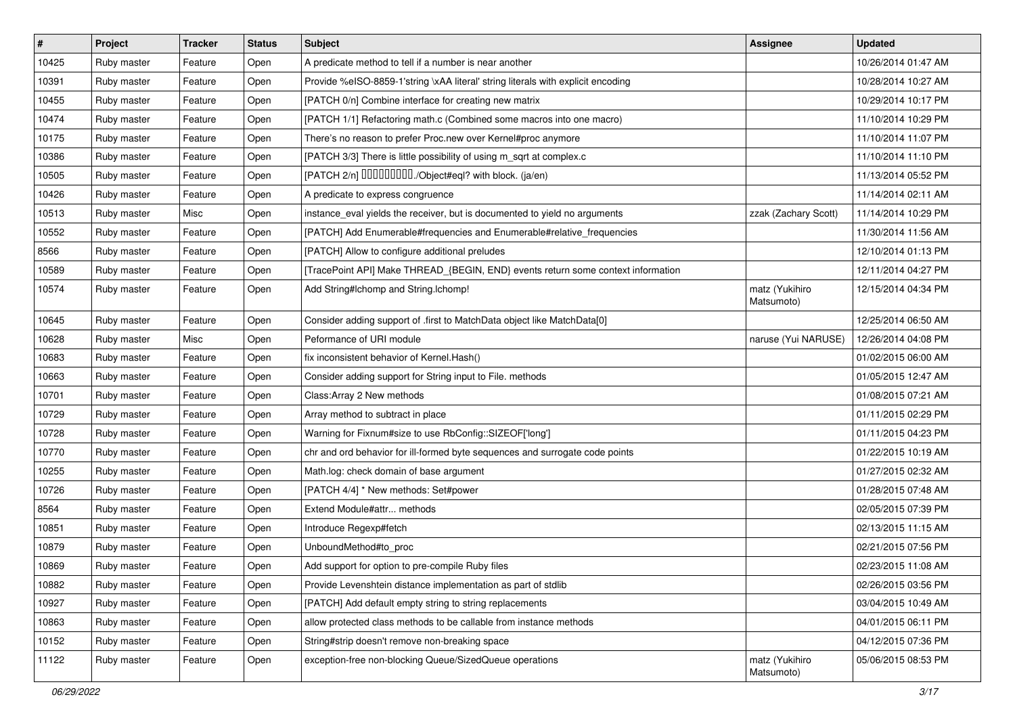| $\sharp$ | Project     | <b>Tracker</b> | <b>Status</b> | Subject                                                                          | Assignee                     | <b>Updated</b>      |
|----------|-------------|----------------|---------------|----------------------------------------------------------------------------------|------------------------------|---------------------|
| 10425    | Ruby master | Feature        | Open          | A predicate method to tell if a number is near another                           |                              | 10/26/2014 01:47 AM |
| 10391    | Ruby master | Feature        | Open          | Provide %eISO-8859-1'string \xAA literal' string literals with explicit encoding |                              | 10/28/2014 10:27 AM |
| 10455    | Ruby master | Feature        | Open          | [PATCH 0/n] Combine interface for creating new matrix                            |                              | 10/29/2014 10:17 PM |
| 10474    | Ruby master | Feature        | Open          | [PATCH 1/1] Refactoring math.c (Combined some macros into one macro)             |                              | 11/10/2014 10:29 PM |
| 10175    | Ruby master | Feature        | Open          | There's no reason to prefer Proc.new over Kernel#proc anymore                    |                              | 11/10/2014 11:07 PM |
| 10386    | Ruby master | Feature        | Open          | [PATCH 3/3] There is little possibility of using m_sqrt at complex.c             |                              | 11/10/2014 11:10 PM |
| 10505    | Ruby master | Feature        | Open          | [PATCH 2/n] DDDDDDDD./Object#eql? with block. (ja/en)                            |                              | 11/13/2014 05:52 PM |
| 10426    | Ruby master | Feature        | Open          | A predicate to express congruence                                                |                              | 11/14/2014 02:11 AM |
| 10513    | Ruby master | Misc           | Open          | instance_eval yields the receiver, but is documented to yield no arguments       | zzak (Zachary Scott)         | 11/14/2014 10:29 PM |
| 10552    | Ruby master | Feature        | Open          | [PATCH] Add Enumerable#frequencies and Enumerable#relative_frequencies           |                              | 11/30/2014 11:56 AM |
| 8566     | Ruby master | Feature        | Open          | [PATCH] Allow to configure additional preludes                                   |                              | 12/10/2014 01:13 PM |
| 10589    | Ruby master | Feature        | Open          | [TracePoint API] Make THREAD_{BEGIN, END} events return some context information |                              | 12/11/2014 04:27 PM |
| 10574    | Ruby master | Feature        | Open          | Add String#Ichomp and String.Ichomp!                                             | matz (Yukihiro<br>Matsumoto) | 12/15/2014 04:34 PM |
| 10645    | Ruby master | Feature        | Open          | Consider adding support of .first to MatchData object like MatchData[0]          |                              | 12/25/2014 06:50 AM |
| 10628    | Ruby master | Misc           | Open          | Peformance of URI module                                                         | naruse (Yui NARUSE)          | 12/26/2014 04:08 PM |
| 10683    | Ruby master | Feature        | Open          | fix inconsistent behavior of Kernel. Hash()                                      |                              | 01/02/2015 06:00 AM |
| 10663    | Ruby master | Feature        | Open          | Consider adding support for String input to File. methods                        |                              | 01/05/2015 12:47 AM |
| 10701    | Ruby master | Feature        | Open          | Class: Array 2 New methods                                                       |                              | 01/08/2015 07:21 AM |
| 10729    | Ruby master | Feature        | Open          | Array method to subtract in place                                                |                              | 01/11/2015 02:29 PM |
| 10728    | Ruby master | Feature        | Open          | Warning for Fixnum#size to use RbConfig::SIZEOF['long']                          |                              | 01/11/2015 04:23 PM |
| 10770    | Ruby master | Feature        | Open          | chr and ord behavior for ill-formed byte sequences and surrogate code points     |                              | 01/22/2015 10:19 AM |
| 10255    | Ruby master | Feature        | Open          | Math.log: check domain of base argument                                          |                              | 01/27/2015 02:32 AM |
| 10726    | Ruby master | Feature        | Open          | [PATCH 4/4] * New methods: Set#power                                             |                              | 01/28/2015 07:48 AM |
| 8564     | Ruby master | Feature        | Open          | Extend Module#attr methods                                                       |                              | 02/05/2015 07:39 PM |
| 10851    | Ruby master | Feature        | Open          | Introduce Regexp#fetch                                                           |                              | 02/13/2015 11:15 AM |
| 10879    | Ruby master | Feature        | Open          | UnboundMethod#to_proc                                                            |                              | 02/21/2015 07:56 PM |
| 10869    | Ruby master | Feature        | Open          | Add support for option to pre-compile Ruby files                                 |                              | 02/23/2015 11:08 AM |
| 10882    | Ruby master | Feature        | Open          | Provide Levenshtein distance implementation as part of stdlib                    |                              | 02/26/2015 03:56 PM |
| 10927    | Ruby master | Feature        | Open          | [PATCH] Add default empty string to string replacements                          |                              | 03/04/2015 10:49 AM |
| 10863    | Ruby master | Feature        | Open          | allow protected class methods to be callable from instance methods               |                              | 04/01/2015 06:11 PM |
| 10152    | Ruby master | Feature        | Open          | String#strip doesn't remove non-breaking space                                   |                              | 04/12/2015 07:36 PM |
| 11122    | Ruby master | Feature        | Open          | exception-free non-blocking Queue/SizedQueue operations                          | matz (Yukihiro<br>Matsumoto) | 05/06/2015 08:53 PM |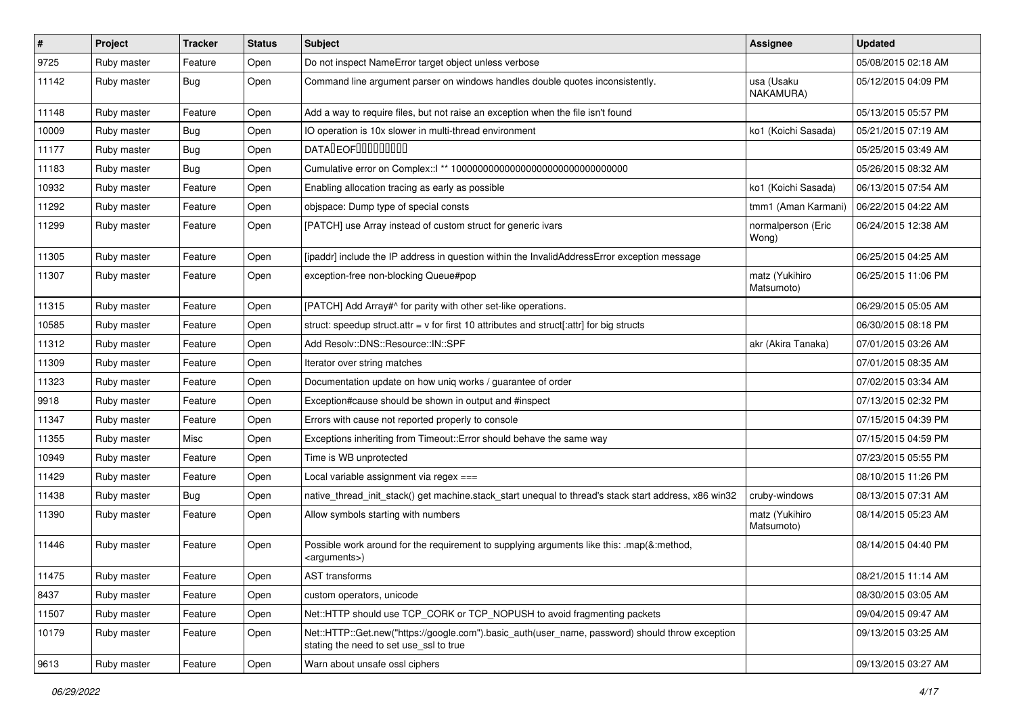| $\vert$ # | Project     | <b>Tracker</b> | <b>Status</b> | Subject                                                                                                                                    | Assignee                     | <b>Updated</b>      |
|-----------|-------------|----------------|---------------|--------------------------------------------------------------------------------------------------------------------------------------------|------------------------------|---------------------|
| 9725      | Ruby master | Feature        | Open          | Do not inspect NameError target object unless verbose                                                                                      |                              | 05/08/2015 02:18 AM |
| 11142     | Ruby master | <b>Bug</b>     | Open          | Command line argument parser on windows handles double quotes inconsistently.                                                              | usa (Usaku<br>NAKAMURA)      | 05/12/2015 04:09 PM |
| 11148     | Ruby master | Feature        | Open          | Add a way to require files, but not raise an exception when the file isn't found                                                           |                              | 05/13/2015 05:57 PM |
| 10009     | Ruby master | <b>Bug</b>     | Open          | IO operation is 10x slower in multi-thread environment                                                                                     | ko1 (Koichi Sasada)          | 05/21/2015 07:19 AM |
| 11177     | Ruby master | <b>Bug</b>     | Open          | DATALEOFILLLLLLLLLL                                                                                                                        |                              | 05/25/2015 03:49 AM |
| 11183     | Ruby master | <b>Bug</b>     | Open          |                                                                                                                                            |                              | 05/26/2015 08:32 AM |
| 10932     | Ruby master | Feature        | Open          | Enabling allocation tracing as early as possible                                                                                           | ko1 (Koichi Sasada)          | 06/13/2015 07:54 AM |
| 11292     | Ruby master | Feature        | Open          | objspace: Dump type of special consts                                                                                                      | tmm1 (Aman Karmani)          | 06/22/2015 04:22 AM |
| 11299     | Ruby master | Feature        | Open          | [PATCH] use Array instead of custom struct for generic ivars                                                                               | normalperson (Eric<br>Wong)  | 06/24/2015 12:38 AM |
| 11305     | Ruby master | Feature        | Open          | [ipaddr] include the IP address in question within the InvalidAddressError exception message                                               |                              | 06/25/2015 04:25 AM |
| 11307     | Ruby master | Feature        | Open          | exception-free non-blocking Queue#pop                                                                                                      | matz (Yukihiro<br>Matsumoto) | 06/25/2015 11:06 PM |
| 11315     | Ruby master | Feature        | Open          | [PATCH] Add Array#^ for parity with other set-like operations.                                                                             |                              | 06/29/2015 05:05 AM |
| 10585     | Ruby master | Feature        | Open          | struct: speedup struct.attr = $v$ for first 10 attributes and struct[:attr] for big structs                                                |                              | 06/30/2015 08:18 PM |
| 11312     | Ruby master | Feature        | Open          | Add Resolv::DNS::Resource::IN::SPF                                                                                                         | akr (Akira Tanaka)           | 07/01/2015 03:26 AM |
| 11309     | Ruby master | Feature        | Open          | Iterator over string matches                                                                                                               |                              | 07/01/2015 08:35 AM |
| 11323     | Ruby master | Feature        | Open          | Documentation update on how uniq works / guarantee of order                                                                                |                              | 07/02/2015 03:34 AM |
| 9918      | Ruby master | Feature        | Open          | Exception#cause should be shown in output and #inspect                                                                                     |                              | 07/13/2015 02:32 PM |
| 11347     | Ruby master | Feature        | Open          | Errors with cause not reported properly to console                                                                                         |                              | 07/15/2015 04:39 PM |
| 11355     | Ruby master | Misc           | Open          | Exceptions inheriting from Timeout:: Error should behave the same way                                                                      |                              | 07/15/2015 04:59 PM |
| 10949     | Ruby master | Feature        | Open          | Time is WB unprotected                                                                                                                     |                              | 07/23/2015 05:55 PM |
| 11429     | Ruby master | Feature        | Open          | Local variable assignment via regex ===                                                                                                    |                              | 08/10/2015 11:26 PM |
| 11438     | Ruby master | <b>Bug</b>     | Open          | native_thread_init_stack() get machine.stack_start unequal to thread's stack start address, x86 win32                                      | cruby-windows                | 08/13/2015 07:31 AM |
| 11390     | Ruby master | Feature        | Open          | Allow symbols starting with numbers                                                                                                        | matz (Yukihiro<br>Matsumoto) | 08/14/2015 05:23 AM |
| 11446     | Ruby master | Feature        | Open          | Possible work around for the requirement to supplying arguments like this: .map(&:method,<br><arguments>)</arguments>                      |                              | 08/14/2015 04:40 PM |
| 11475     | Ruby master | Feature        | Open          | AST transforms                                                                                                                             |                              | 08/21/2015 11:14 AM |
| 8437      | Ruby master | Feature        | Open          | custom operators, unicode                                                                                                                  |                              | 08/30/2015 03:05 AM |
| 11507     | Ruby master | Feature        | Open          | Net::HTTP should use TCP CORK or TCP NOPUSH to avoid fragmenting packets                                                                   |                              | 09/04/2015 09:47 AM |
| 10179     | Ruby master | Feature        | Open          | Net::HTTP::Get.new("https://google.com").basic_auth(user_name, password) should throw exception<br>stating the need to set use ssl to true |                              | 09/13/2015 03:25 AM |
| 9613      | Ruby master | Feature        | Open          | Warn about unsafe ossl ciphers                                                                                                             |                              | 09/13/2015 03:27 AM |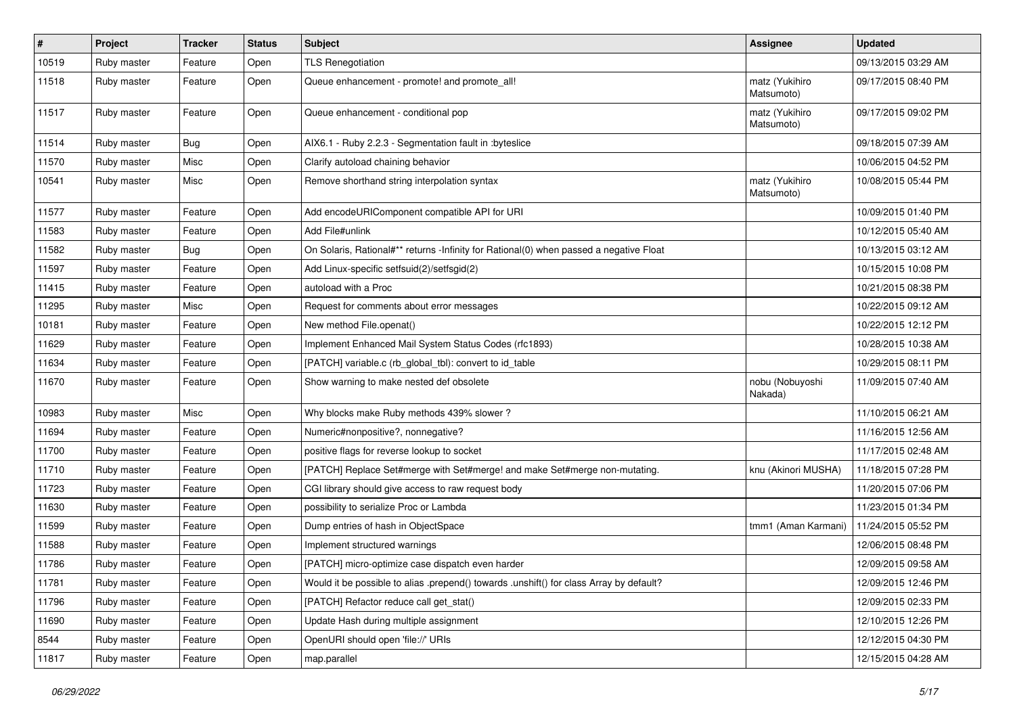| #     | Project     | <b>Tracker</b> | <b>Status</b> | <b>Subject</b>                                                                          | Assignee                     | <b>Updated</b>      |
|-------|-------------|----------------|---------------|-----------------------------------------------------------------------------------------|------------------------------|---------------------|
| 10519 | Ruby master | Feature        | Open          | <b>TLS Renegotiation</b>                                                                |                              | 09/13/2015 03:29 AM |
| 11518 | Ruby master | Feature        | Open          | Queue enhancement - promote! and promote_all!                                           | matz (Yukihiro<br>Matsumoto) | 09/17/2015 08:40 PM |
| 11517 | Ruby master | Feature        | Open          | Queue enhancement - conditional pop                                                     | matz (Yukihiro<br>Matsumoto) | 09/17/2015 09:02 PM |
| 11514 | Ruby master | <b>Bug</b>     | Open          | AIX6.1 - Ruby 2.2.3 - Segmentation fault in :byteslice                                  |                              | 09/18/2015 07:39 AM |
| 11570 | Ruby master | Misc           | Open          | Clarify autoload chaining behavior                                                      |                              | 10/06/2015 04:52 PM |
| 10541 | Ruby master | Misc           | Open          | Remove shorthand string interpolation syntax                                            | matz (Yukihiro<br>Matsumoto) | 10/08/2015 05:44 PM |
| 11577 | Ruby master | Feature        | Open          | Add encodeURIComponent compatible API for URI                                           |                              | 10/09/2015 01:40 PM |
| 11583 | Ruby master | Feature        | Open          | Add File#unlink                                                                         |                              | 10/12/2015 05:40 AM |
| 11582 | Ruby master | <b>Bug</b>     | Open          | On Solaris, Rational#** returns -Infinity for Rational(0) when passed a negative Float  |                              | 10/13/2015 03:12 AM |
| 11597 | Ruby master | Feature        | Open          | Add Linux-specific setfsuid(2)/setfsgid(2)                                              |                              | 10/15/2015 10:08 PM |
| 11415 | Ruby master | Feature        | Open          | autoload with a Proc                                                                    |                              | 10/21/2015 08:38 PM |
| 11295 | Ruby master | Misc           | Open          | Request for comments about error messages                                               |                              | 10/22/2015 09:12 AM |
| 10181 | Ruby master | Feature        | Open          | New method File.openat()                                                                |                              | 10/22/2015 12:12 PM |
| 11629 | Ruby master | Feature        | Open          | Implement Enhanced Mail System Status Codes (rfc1893)                                   |                              | 10/28/2015 10:38 AM |
| 11634 | Ruby master | Feature        | Open          | [PATCH] variable.c (rb_global_tbl): convert to id_table                                 |                              | 10/29/2015 08:11 PM |
| 11670 | Ruby master | Feature        | Open          | Show warning to make nested def obsolete                                                | nobu (Nobuyoshi<br>Nakada)   | 11/09/2015 07:40 AM |
| 10983 | Ruby master | Misc           | Open          | Why blocks make Ruby methods 439% slower?                                               |                              | 11/10/2015 06:21 AM |
| 11694 | Ruby master | Feature        | Open          | Numeric#nonpositive?, nonnegative?                                                      |                              | 11/16/2015 12:56 AM |
| 11700 | Ruby master | Feature        | Open          | positive flags for reverse lookup to socket                                             |                              | 11/17/2015 02:48 AM |
| 11710 | Ruby master | Feature        | Open          | [PATCH] Replace Set#merge with Set#merge! and make Set#merge non-mutating.              | knu (Akinori MUSHA)          | 11/18/2015 07:28 PM |
| 11723 | Ruby master | Feature        | Open          | CGI library should give access to raw request body                                      |                              | 11/20/2015 07:06 PM |
| 11630 | Ruby master | Feature        | Open          | possibility to serialize Proc or Lambda                                                 |                              | 11/23/2015 01:34 PM |
| 11599 | Ruby master | Feature        | Open          | Dump entries of hash in ObjectSpace                                                     | tmm1 (Aman Karmani)          | 11/24/2015 05:52 PM |
| 11588 | Ruby master | Feature        | Open          | Implement structured warnings                                                           |                              | 12/06/2015 08:48 PM |
| 11786 | Ruby master | Feature        | Open          | [PATCH] micro-optimize case dispatch even harder                                        |                              | 12/09/2015 09:58 AM |
| 11781 | Ruby master | Feature        | Open          | Would it be possible to alias .prepend() towards .unshift() for class Array by default? |                              | 12/09/2015 12:46 PM |
| 11796 | Ruby master | Feature        | Open          | [PATCH] Refactor reduce call get_stat()                                                 |                              | 12/09/2015 02:33 PM |
| 11690 | Ruby master | Feature        | Open          | Update Hash during multiple assignment                                                  |                              | 12/10/2015 12:26 PM |
| 8544  | Ruby master | Feature        | Open          | OpenURI should open 'file://' URIs                                                      |                              | 12/12/2015 04:30 PM |
| 11817 | Ruby master | Feature        | Open          | map.parallel                                                                            |                              | 12/15/2015 04:28 AM |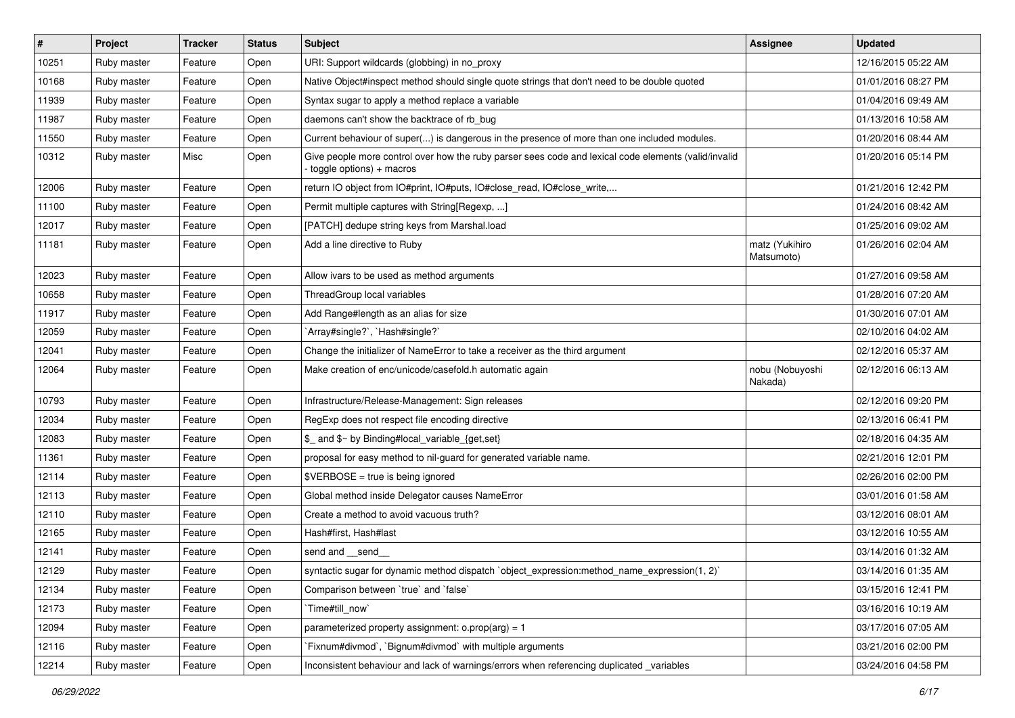| $\vert$ # | Project     | <b>Tracker</b> | <b>Status</b> | Subject                                                                                                                          | Assignee                     | <b>Updated</b>      |
|-----------|-------------|----------------|---------------|----------------------------------------------------------------------------------------------------------------------------------|------------------------------|---------------------|
| 10251     | Ruby master | Feature        | Open          | URI: Support wildcards (globbing) in no_proxy                                                                                    |                              | 12/16/2015 05:22 AM |
| 10168     | Ruby master | Feature        | Open          | Native Object#inspect method should single quote strings that don't need to be double quoted                                     |                              | 01/01/2016 08:27 PM |
| 11939     | Ruby master | Feature        | Open          | Syntax sugar to apply a method replace a variable                                                                                |                              | 01/04/2016 09:49 AM |
| 11987     | Ruby master | Feature        | Open          | daemons can't show the backtrace of rb_bug                                                                                       |                              | 01/13/2016 10:58 AM |
| 11550     | Ruby master | Feature        | Open          | Current behaviour of super() is dangerous in the presence of more than one included modules.                                     |                              | 01/20/2016 08:44 AM |
| 10312     | Ruby master | Misc           | Open          | Give people more control over how the ruby parser sees code and lexical code elements (valid/invalid<br>toggle options) + macros |                              | 01/20/2016 05:14 PM |
| 12006     | Ruby master | Feature        | Open          | return IO object from IO#print, IO#puts, IO#close_read, IO#close_write,                                                          |                              | 01/21/2016 12:42 PM |
| 11100     | Ruby master | Feature        | Open          | Permit multiple captures with String[Regexp, ]                                                                                   |                              | 01/24/2016 08:42 AM |
| 12017     | Ruby master | Feature        | Open          | [PATCH] dedupe string keys from Marshal.load                                                                                     |                              | 01/25/2016 09:02 AM |
| 11181     | Ruby master | Feature        | Open          | Add a line directive to Ruby                                                                                                     | matz (Yukihiro<br>Matsumoto) | 01/26/2016 02:04 AM |
| 12023     | Ruby master | Feature        | Open          | Allow ivars to be used as method arguments                                                                                       |                              | 01/27/2016 09:58 AM |
| 10658     | Ruby master | Feature        | Open          | ThreadGroup local variables                                                                                                      |                              | 01/28/2016 07:20 AM |
| 11917     | Ruby master | Feature        | Open          | Add Range#length as an alias for size                                                                                            |                              | 01/30/2016 07:01 AM |
| 12059     | Ruby master | Feature        | Open          | 'Array#single?', 'Hash#single?'                                                                                                  |                              | 02/10/2016 04:02 AM |
| 12041     | Ruby master | Feature        | Open          | Change the initializer of NameError to take a receiver as the third argument                                                     |                              | 02/12/2016 05:37 AM |
| 12064     | Ruby master | Feature        | Open          | Make creation of enc/unicode/casefold.h automatic again                                                                          | nobu (Nobuyoshi<br>Nakada)   | 02/12/2016 06:13 AM |
| 10793     | Ruby master | Feature        | Open          | Infrastructure/Release-Management: Sign releases                                                                                 |                              | 02/12/2016 09:20 PM |
| 12034     | Ruby master | Feature        | Open          | RegExp does not respect file encoding directive                                                                                  |                              | 02/13/2016 06:41 PM |
| 12083     | Ruby master | Feature        | Open          | \$_ and \$~ by Binding#local_variable_{get,set}                                                                                  |                              | 02/18/2016 04:35 AM |
| 11361     | Ruby master | Feature        | Open          | proposal for easy method to nil-guard for generated variable name.                                                               |                              | 02/21/2016 12:01 PM |
| 12114     | Ruby master | Feature        | Open          | $\texttt{SVERBOSE}$ = true is being ignored                                                                                      |                              | 02/26/2016 02:00 PM |
| 12113     | Ruby master | Feature        | Open          | Global method inside Delegator causes NameError                                                                                  |                              | 03/01/2016 01:58 AM |
| 12110     | Ruby master | Feature        | Open          | Create a method to avoid vacuous truth?                                                                                          |                              | 03/12/2016 08:01 AM |
| 12165     | Ruby master | Feature        | Open          | Hash#first, Hash#last                                                                                                            |                              | 03/12/2016 10:55 AM |
| 12141     | Ruby master | Feature        | Open          | send and __send_                                                                                                                 |                              | 03/14/2016 01:32 AM |
| 12129     | Ruby master | Feature        | Open          | syntactic sugar for dynamic method dispatch `object_expression:method_name_expression(1, 2)`                                     |                              | 03/14/2016 01:35 AM |
| 12134     | Ruby master | Feature        | Open          | Comparison between 'true' and 'false'                                                                                            |                              | 03/15/2016 12:41 PM |
| 12173     | Ruby master | Feature        | Open          | Time#till_now`                                                                                                                   |                              | 03/16/2016 10:19 AM |
| 12094     | Ruby master | Feature        | Open          | parameterized property assignment: $o.prop(arg) = 1$                                                                             |                              | 03/17/2016 07:05 AM |
| 12116     | Ruby master | Feature        | Open          | Fixnum#divmod`, `Bignum#divmod` with multiple arguments                                                                          |                              | 03/21/2016 02:00 PM |
| 12214     | Ruby master | Feature        | Open          | Inconsistent behaviour and lack of warnings/errors when referencing duplicated _variables                                        |                              | 03/24/2016 04:58 PM |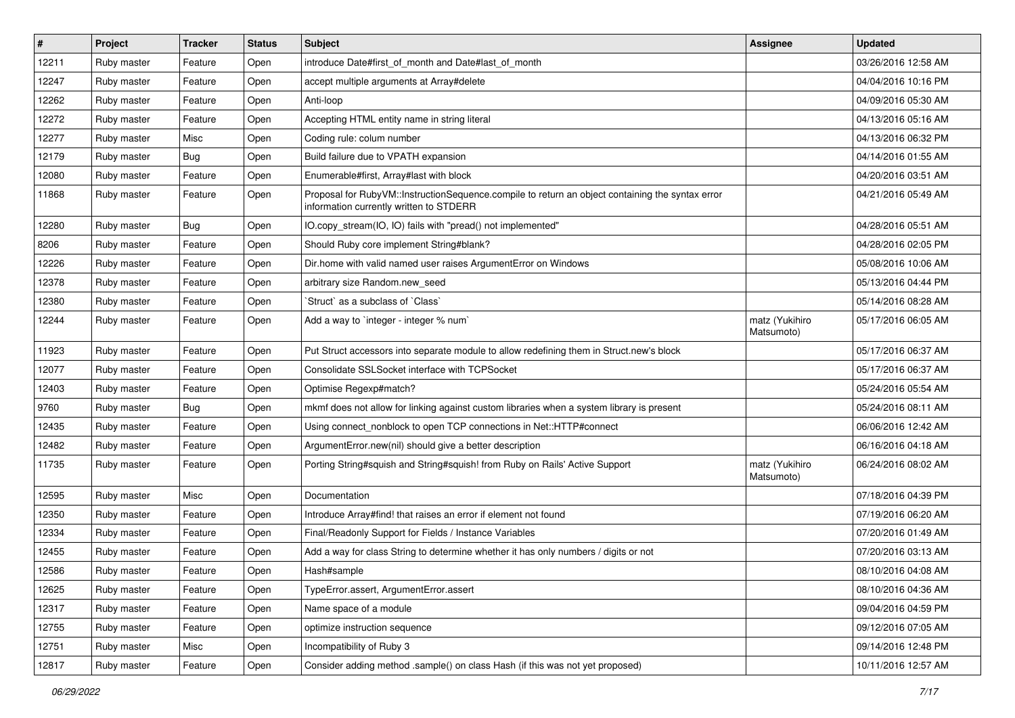| $\sharp$ | Project     | <b>Tracker</b> | <b>Status</b> | <b>Subject</b>                                                                                                                              | Assignee                     | <b>Updated</b>      |
|----------|-------------|----------------|---------------|---------------------------------------------------------------------------------------------------------------------------------------------|------------------------------|---------------------|
| 12211    | Ruby master | Feature        | Open          | introduce Date#first_of_month and Date#last_of_month                                                                                        |                              | 03/26/2016 12:58 AM |
| 12247    | Ruby master | Feature        | Open          | accept multiple arguments at Array#delete                                                                                                   |                              | 04/04/2016 10:16 PM |
| 12262    | Ruby master | Feature        | Open          | Anti-loop                                                                                                                                   |                              | 04/09/2016 05:30 AM |
| 12272    | Ruby master | Feature        | Open          | Accepting HTML entity name in string literal                                                                                                |                              | 04/13/2016 05:16 AM |
| 12277    | Ruby master | Misc           | Open          | Coding rule: colum number                                                                                                                   |                              | 04/13/2016 06:32 PM |
| 12179    | Ruby master | <b>Bug</b>     | Open          | Build failure due to VPATH expansion                                                                                                        |                              | 04/14/2016 01:55 AM |
| 12080    | Ruby master | Feature        | Open          | Enumerable#first, Array#last with block                                                                                                     |                              | 04/20/2016 03:51 AM |
| 11868    | Ruby master | Feature        | Open          | Proposal for RubyVM::InstructionSequence.compile to return an object containing the syntax error<br>information currently written to STDERR |                              | 04/21/2016 05:49 AM |
| 12280    | Ruby master | Bug            | Open          | IO.copy_stream(IO, IO) fails with "pread() not implemented"                                                                                 |                              | 04/28/2016 05:51 AM |
| 8206     | Ruby master | Feature        | Open          | Should Ruby core implement String#blank?                                                                                                    |                              | 04/28/2016 02:05 PM |
| 12226    | Ruby master | Feature        | Open          | Dir.home with valid named user raises ArgumentError on Windows                                                                              |                              | 05/08/2016 10:06 AM |
| 12378    | Ruby master | Feature        | Open          | arbitrary size Random.new seed                                                                                                              |                              | 05/13/2016 04:44 PM |
| 12380    | Ruby master | Feature        | Open          | 'Struct' as a subclass of 'Class'                                                                                                           |                              | 05/14/2016 08:28 AM |
| 12244    | Ruby master | Feature        | Open          | Add a way to 'integer - integer % num'                                                                                                      | matz (Yukihiro<br>Matsumoto) | 05/17/2016 06:05 AM |
| 11923    | Ruby master | Feature        | Open          | Put Struct accessors into separate module to allow redefining them in Struct.new's block                                                    |                              | 05/17/2016 06:37 AM |
| 12077    | Ruby master | Feature        | Open          | Consolidate SSLSocket interface with TCPSocket                                                                                              |                              | 05/17/2016 06:37 AM |
| 12403    | Ruby master | Feature        | Open          | Optimise Regexp#match?                                                                                                                      |                              | 05/24/2016 05:54 AM |
| 9760     | Ruby master | <b>Bug</b>     | Open          | mkmf does not allow for linking against custom libraries when a system library is present                                                   |                              | 05/24/2016 08:11 AM |
| 12435    | Ruby master | Feature        | Open          | Using connect_nonblock to open TCP connections in Net::HTTP#connect                                                                         |                              | 06/06/2016 12:42 AM |
| 12482    | Ruby master | Feature        | Open          | ArgumentError.new(nil) should give a better description                                                                                     |                              | 06/16/2016 04:18 AM |
| 11735    | Ruby master | Feature        | Open          | Porting String#squish and String#squish! from Ruby on Rails' Active Support                                                                 | matz (Yukihiro<br>Matsumoto) | 06/24/2016 08:02 AM |
| 12595    | Ruby master | Misc           | Open          | Documentation                                                                                                                               |                              | 07/18/2016 04:39 PM |
| 12350    | Ruby master | Feature        | Open          | Introduce Array#find! that raises an error if element not found                                                                             |                              | 07/19/2016 06:20 AM |
| 12334    | Ruby master | Feature        | Open          | Final/Readonly Support for Fields / Instance Variables                                                                                      |                              | 07/20/2016 01:49 AM |
| 12455    | Ruby master | Feature        | Open          | Add a way for class String to determine whether it has only numbers / digits or not                                                         |                              | 07/20/2016 03:13 AM |
| 12586    | Ruby master | Feature        | Open          | Hash#sample                                                                                                                                 |                              | 08/10/2016 04:08 AM |
| 12625    | Ruby master | Feature        | Open          | TypeError.assert, ArgumentError.assert                                                                                                      |                              | 08/10/2016 04:36 AM |
| 12317    | Ruby master | Feature        | Open          | Name space of a module                                                                                                                      |                              | 09/04/2016 04:59 PM |
| 12755    | Ruby master | Feature        | Open          | optimize instruction sequence                                                                                                               |                              | 09/12/2016 07:05 AM |
| 12751    | Ruby master | Misc           | Open          | Incompatibility of Ruby 3                                                                                                                   |                              | 09/14/2016 12:48 PM |
| 12817    | Ruby master | Feature        | Open          | Consider adding method .sample() on class Hash (if this was not yet proposed)                                                               |                              | 10/11/2016 12:57 AM |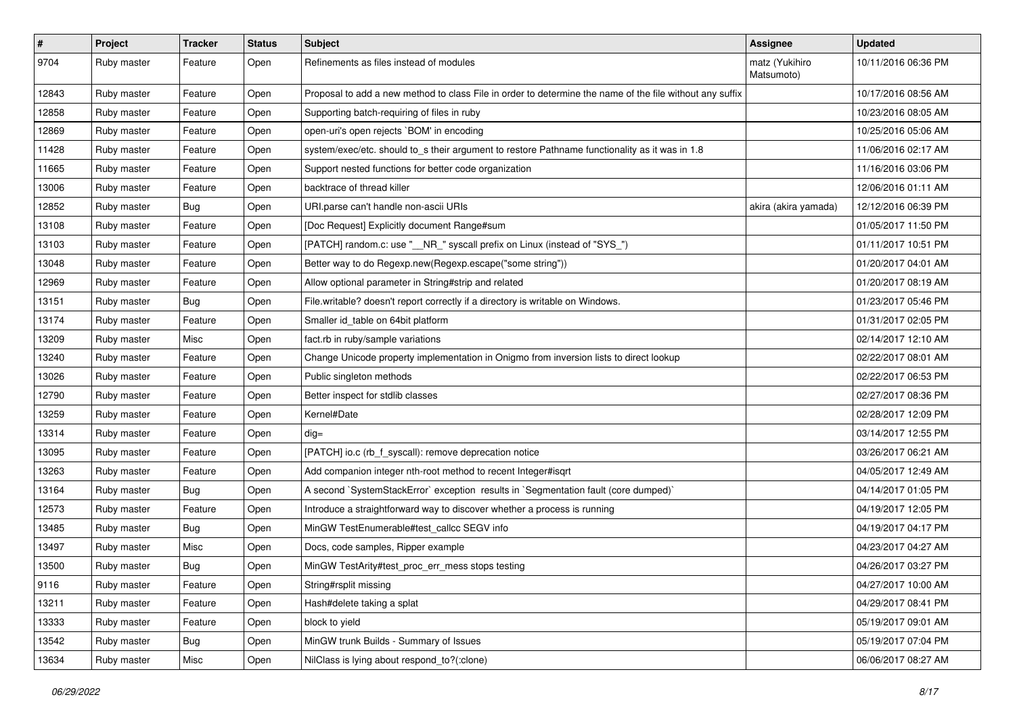| #     | Project     | <b>Tracker</b> | <b>Status</b> | <b>Subject</b>                                                                                           | <b>Assignee</b>              | <b>Updated</b>      |
|-------|-------------|----------------|---------------|----------------------------------------------------------------------------------------------------------|------------------------------|---------------------|
| 9704  | Ruby master | Feature        | Open          | Refinements as files instead of modules                                                                  | matz (Yukihiro<br>Matsumoto) | 10/11/2016 06:36 PM |
| 12843 | Ruby master | Feature        | Open          | Proposal to add a new method to class File in order to determine the name of the file without any suffix |                              | 10/17/2016 08:56 AM |
| 12858 | Ruby master | Feature        | Open          | Supporting batch-requiring of files in ruby                                                              |                              | 10/23/2016 08:05 AM |
| 12869 | Ruby master | Feature        | Open          | open-uri's open rejects `BOM' in encoding                                                                |                              | 10/25/2016 05:06 AM |
| 11428 | Ruby master | Feature        | Open          | system/exec/etc. should to_s their argument to restore Pathname functionality as it was in 1.8           |                              | 11/06/2016 02:17 AM |
| 11665 | Ruby master | Feature        | Open          | Support nested functions for better code organization                                                    |                              | 11/16/2016 03:06 PM |
| 13006 | Ruby master | Feature        | Open          | backtrace of thread killer                                                                               |                              | 12/06/2016 01:11 AM |
| 12852 | Ruby master | <b>Bug</b>     | Open          | URI.parse can't handle non-ascii URIs                                                                    | akira (akira yamada)         | 12/12/2016 06:39 PM |
| 13108 | Ruby master | Feature        | Open          | [Doc Request] Explicitly document Range#sum                                                              |                              | 01/05/2017 11:50 PM |
| 13103 | Ruby master | Feature        | Open          | [PATCH] random.c: use "__NR_" syscall prefix on Linux (instead of "SYS_")                                |                              | 01/11/2017 10:51 PM |
| 13048 | Ruby master | Feature        | Open          | Better way to do Regexp.new(Regexp.escape("some string"))                                                |                              | 01/20/2017 04:01 AM |
| 12969 | Ruby master | Feature        | Open          | Allow optional parameter in String#strip and related                                                     |                              | 01/20/2017 08:19 AM |
| 13151 | Ruby master | <b>Bug</b>     | Open          | File.writable? doesn't report correctly if a directory is writable on Windows.                           |                              | 01/23/2017 05:46 PM |
| 13174 | Ruby master | Feature        | Open          | Smaller id_table on 64bit platform                                                                       |                              | 01/31/2017 02:05 PM |
| 13209 | Ruby master | Misc           | Open          | fact.rb in ruby/sample variations                                                                        |                              | 02/14/2017 12:10 AM |
| 13240 | Ruby master | Feature        | Open          | Change Unicode property implementation in Onigmo from inversion lists to direct lookup                   |                              | 02/22/2017 08:01 AM |
| 13026 | Ruby master | Feature        | Open          | Public singleton methods                                                                                 |                              | 02/22/2017 06:53 PM |
| 12790 | Ruby master | Feature        | Open          | Better inspect for stdlib classes                                                                        |                              | 02/27/2017 08:36 PM |
| 13259 | Ruby master | Feature        | Open          | Kernel#Date                                                                                              |                              | 02/28/2017 12:09 PM |
| 13314 | Ruby master | Feature        | Open          | $dig =$                                                                                                  |                              | 03/14/2017 12:55 PM |
| 13095 | Ruby master | Feature        | Open          | [PATCH] io.c (rb_f_syscall): remove deprecation notice                                                   |                              | 03/26/2017 06:21 AM |
| 13263 | Ruby master | Feature        | Open          | Add companion integer nth-root method to recent Integer#isqrt                                            |                              | 04/05/2017 12:49 AM |
| 13164 | Ruby master | <b>Bug</b>     | Open          | A second `SystemStackError` exception results in `Segmentation fault (core dumped)`                      |                              | 04/14/2017 01:05 PM |
| 12573 | Ruby master | Feature        | Open          | Introduce a straightforward way to discover whether a process is running                                 |                              | 04/19/2017 12:05 PM |
| 13485 | Ruby master | <b>Bug</b>     | Open          | MinGW TestEnumerable#test_callcc SEGV info                                                               |                              | 04/19/2017 04:17 PM |
| 13497 | Ruby master | Misc           | Open          | Docs, code samples, Ripper example                                                                       |                              | 04/23/2017 04:27 AM |
| 13500 | Ruby master | <b>Bug</b>     | Open          | MinGW TestArity#test_proc_err_mess stops testing                                                         |                              | 04/26/2017 03:27 PM |
| 9116  | Ruby master | Feature        | Open          | String#rsplit missing                                                                                    |                              | 04/27/2017 10:00 AM |
| 13211 | Ruby master | Feature        | Open          | Hash#delete taking a splat                                                                               |                              | 04/29/2017 08:41 PM |
| 13333 | Ruby master | Feature        | Open          | block to yield                                                                                           |                              | 05/19/2017 09:01 AM |
| 13542 | Ruby master | <b>Bug</b>     | Open          | MinGW trunk Builds - Summary of Issues                                                                   |                              | 05/19/2017 07:04 PM |
| 13634 | Ruby master | Misc           | Open          | NilClass is lying about respond_to?(:clone)                                                              |                              | 06/06/2017 08:27 AM |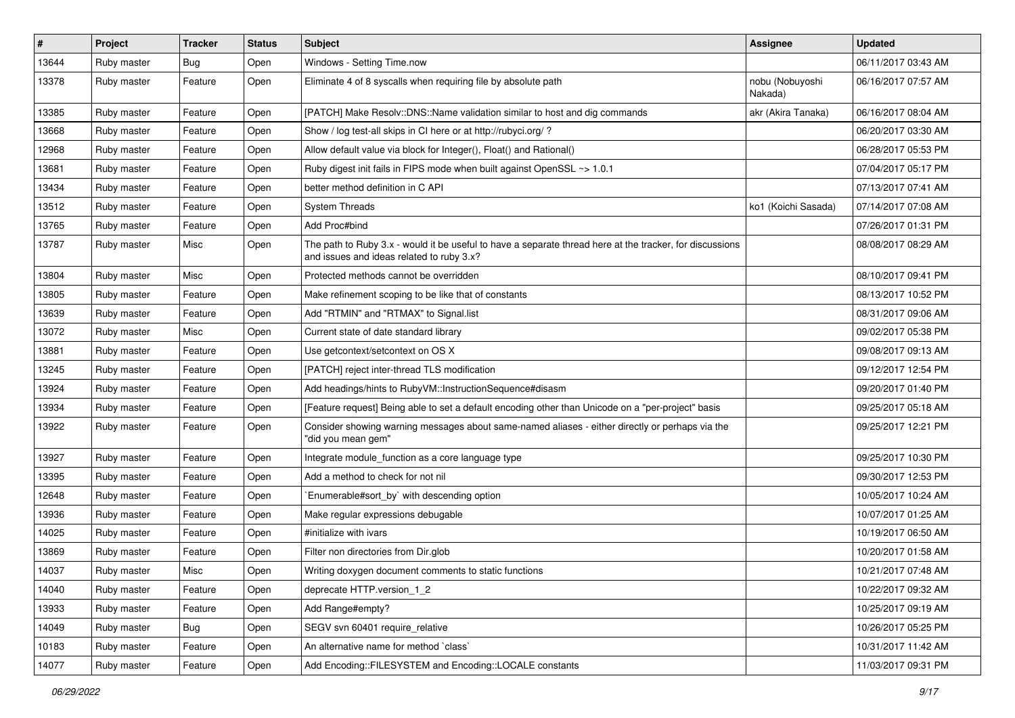| $\vert$ # | Project     | <b>Tracker</b> | <b>Status</b> | Subject                                                                                                                                               | Assignee                   | <b>Updated</b>      |
|-----------|-------------|----------------|---------------|-------------------------------------------------------------------------------------------------------------------------------------------------------|----------------------------|---------------------|
| 13644     | Ruby master | Bug            | Open          | Windows - Setting Time.now                                                                                                                            |                            | 06/11/2017 03:43 AM |
| 13378     | Ruby master | Feature        | Open          | Eliminate 4 of 8 syscalls when requiring file by absolute path                                                                                        | nobu (Nobuyoshi<br>Nakada) | 06/16/2017 07:57 AM |
| 13385     | Ruby master | Feature        | Open          | [PATCH] Make Resolv::DNS::Name validation similar to host and dig commands                                                                            | akr (Akira Tanaka)         | 06/16/2017 08:04 AM |
| 13668     | Ruby master | Feature        | Open          | Show / log test-all skips in CI here or at http://rubyci.org/ ?                                                                                       |                            | 06/20/2017 03:30 AM |
| 12968     | Ruby master | Feature        | Open          | Allow default value via block for Integer(), Float() and Rational()                                                                                   |                            | 06/28/2017 05:53 PM |
| 13681     | Ruby master | Feature        | Open          | Ruby digest init fails in FIPS mode when built against OpenSSL ~> 1.0.1                                                                               |                            | 07/04/2017 05:17 PM |
| 13434     | Ruby master | Feature        | Open          | better method definition in C API                                                                                                                     |                            | 07/13/2017 07:41 AM |
| 13512     | Ruby master | Feature        | Open          | <b>System Threads</b>                                                                                                                                 | ko1 (Koichi Sasada)        | 07/14/2017 07:08 AM |
| 13765     | Ruby master | Feature        | Open          | Add Proc#bind                                                                                                                                         |                            | 07/26/2017 01:31 PM |
| 13787     | Ruby master | Misc           | Open          | The path to Ruby 3.x - would it be useful to have a separate thread here at the tracker, for discussions<br>and issues and ideas related to ruby 3.x? |                            | 08/08/2017 08:29 AM |
| 13804     | Ruby master | Misc           | Open          | Protected methods cannot be overridden                                                                                                                |                            | 08/10/2017 09:41 PM |
| 13805     | Ruby master | Feature        | Open          | Make refinement scoping to be like that of constants                                                                                                  |                            | 08/13/2017 10:52 PM |
| 13639     | Ruby master | Feature        | Open          | Add "RTMIN" and "RTMAX" to Signal.list                                                                                                                |                            | 08/31/2017 09:06 AM |
| 13072     | Ruby master | Misc           | Open          | Current state of date standard library                                                                                                                |                            | 09/02/2017 05:38 PM |
| 13881     | Ruby master | Feature        | Open          | Use getcontext/setcontext on OS X                                                                                                                     |                            | 09/08/2017 09:13 AM |
| 13245     | Ruby master | Feature        | Open          | [PATCH] reject inter-thread TLS modification                                                                                                          |                            | 09/12/2017 12:54 PM |
| 13924     | Ruby master | Feature        | Open          | Add headings/hints to RubyVM::InstructionSequence#disasm                                                                                              |                            | 09/20/2017 01:40 PM |
| 13934     | Ruby master | Feature        | Open          | [Feature request] Being able to set a default encoding other than Unicode on a "per-project" basis                                                    |                            | 09/25/2017 05:18 AM |
| 13922     | Ruby master | Feature        | Open          | Consider showing warning messages about same-named aliases - either directly or perhaps via the<br>"did you mean gem"                                 |                            | 09/25/2017 12:21 PM |
| 13927     | Ruby master | Feature        | Open          | Integrate module_function as a core language type                                                                                                     |                            | 09/25/2017 10:30 PM |
| 13395     | Ruby master | Feature        | Open          | Add a method to check for not nil                                                                                                                     |                            | 09/30/2017 12:53 PM |
| 12648     | Ruby master | Feature        | Open          | Enumerable#sort_by` with descending option                                                                                                            |                            | 10/05/2017 10:24 AM |
| 13936     | Ruby master | Feature        | Open          | Make regular expressions debugable                                                                                                                    |                            | 10/07/2017 01:25 AM |
| 14025     | Ruby master | Feature        | Open          | #initialize with ivars                                                                                                                                |                            | 10/19/2017 06:50 AM |
| 13869     | Ruby master | Feature        | Open          | Filter non directories from Dir.glob                                                                                                                  |                            | 10/20/2017 01:58 AM |
| 14037     | Ruby master | Misc           | Open          | Writing doxygen document comments to static functions                                                                                                 |                            | 10/21/2017 07:48 AM |
| 14040     | Ruby master | Feature        | Open          | deprecate HTTP.version 1 2                                                                                                                            |                            | 10/22/2017 09:32 AM |
| 13933     | Ruby master | Feature        | Open          | Add Range#empty?                                                                                                                                      |                            | 10/25/2017 09:19 AM |
| 14049     | Ruby master | <b>Bug</b>     | Open          | SEGV svn 60401 require_relative                                                                                                                       |                            | 10/26/2017 05:25 PM |
| 10183     | Ruby master | Feature        | Open          | An alternative name for method `class`                                                                                                                |                            | 10/31/2017 11:42 AM |
| 14077     | Ruby master | Feature        | Open          | Add Encoding::FILESYSTEM and Encoding::LOCALE constants                                                                                               |                            | 11/03/2017 09:31 PM |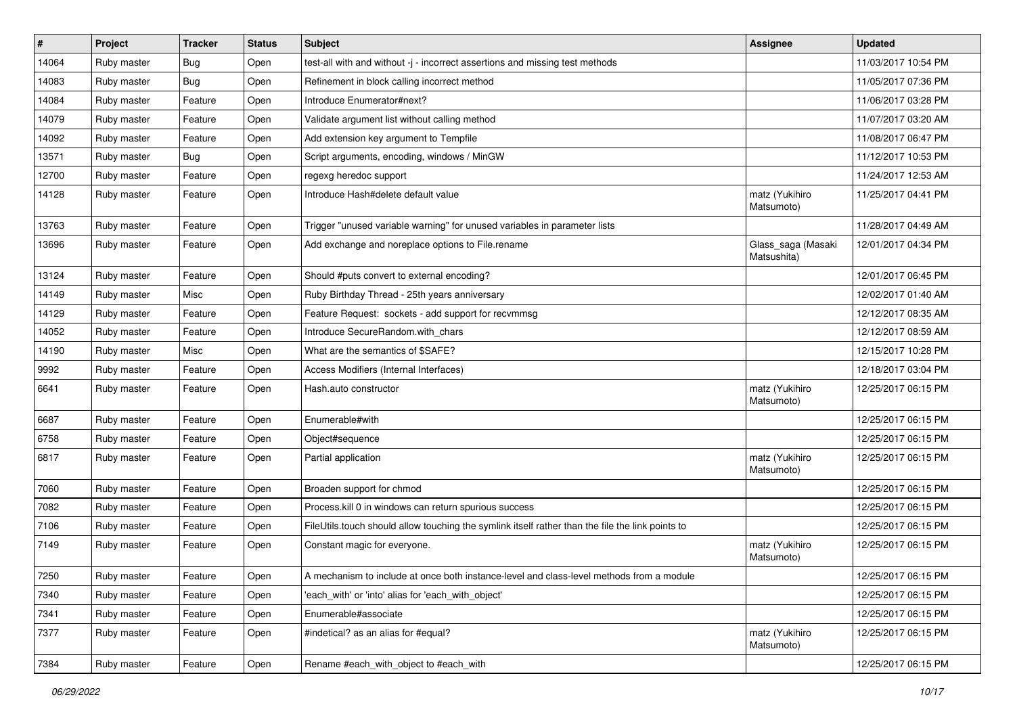| $\vert$ # | Project     | <b>Tracker</b> | <b>Status</b> | <b>Subject</b>                                                                                   | Assignee                          | <b>Updated</b>      |
|-----------|-------------|----------------|---------------|--------------------------------------------------------------------------------------------------|-----------------------------------|---------------------|
| 14064     | Ruby master | <b>Bug</b>     | Open          | test-all with and without -j - incorrect assertions and missing test methods                     |                                   | 11/03/2017 10:54 PM |
| 14083     | Ruby master | Bug            | Open          | Refinement in block calling incorrect method                                                     |                                   | 11/05/2017 07:36 PM |
| 14084     | Ruby master | Feature        | Open          | Introduce Enumerator#next?                                                                       |                                   | 11/06/2017 03:28 PM |
| 14079     | Ruby master | Feature        | Open          | Validate argument list without calling method                                                    |                                   | 11/07/2017 03:20 AM |
| 14092     | Ruby master | Feature        | Open          | Add extension key argument to Tempfile                                                           |                                   | 11/08/2017 06:47 PM |
| 13571     | Ruby master | <b>Bug</b>     | Open          | Script arguments, encoding, windows / MinGW                                                      |                                   | 11/12/2017 10:53 PM |
| 12700     | Ruby master | Feature        | Open          | regexg heredoc support                                                                           |                                   | 11/24/2017 12:53 AM |
| 14128     | Ruby master | Feature        | Open          | Introduce Hash#delete default value                                                              | matz (Yukihiro<br>Matsumoto)      | 11/25/2017 04:41 PM |
| 13763     | Ruby master | Feature        | Open          | Trigger "unused variable warning" for unused variables in parameter lists                        |                                   | 11/28/2017 04:49 AM |
| 13696     | Ruby master | Feature        | Open          | Add exchange and noreplace options to File.rename                                                | Glass_saga (Masaki<br>Matsushita) | 12/01/2017 04:34 PM |
| 13124     | Ruby master | Feature        | Open          | Should #puts convert to external encoding?                                                       |                                   | 12/01/2017 06:45 PM |
| 14149     | Ruby master | Misc           | Open          | Ruby Birthday Thread - 25th years anniversary                                                    |                                   | 12/02/2017 01:40 AM |
| 14129     | Ruby master | Feature        | Open          | Feature Request: sockets - add support for recvmmsg                                              |                                   | 12/12/2017 08:35 AM |
| 14052     | Ruby master | Feature        | Open          | Introduce SecureRandom.with chars                                                                |                                   | 12/12/2017 08:59 AM |
| 14190     | Ruby master | Misc           | Open          | What are the semantics of \$SAFE?                                                                |                                   | 12/15/2017 10:28 PM |
| 9992      | Ruby master | Feature        | Open          | Access Modifiers (Internal Interfaces)                                                           |                                   | 12/18/2017 03:04 PM |
| 6641      | Ruby master | Feature        | Open          | Hash.auto constructor                                                                            | matz (Yukihiro<br>Matsumoto)      | 12/25/2017 06:15 PM |
| 6687      | Ruby master | Feature        | Open          | Enumerable#with                                                                                  |                                   | 12/25/2017 06:15 PM |
| 6758      | Ruby master | Feature        | Open          | Object#sequence                                                                                  |                                   | 12/25/2017 06:15 PM |
| 6817      | Ruby master | Feature        | Open          | Partial application                                                                              | matz (Yukihiro<br>Matsumoto)      | 12/25/2017 06:15 PM |
| 7060      | Ruby master | Feature        | Open          | Broaden support for chmod                                                                        |                                   | 12/25/2017 06:15 PM |
| 7082      | Ruby master | Feature        | Open          | Process.kill 0 in windows can return spurious success                                            |                                   | 12/25/2017 06:15 PM |
| 7106      | Ruby master | Feature        | Open          | FileUtils.touch should allow touching the symlink itself rather than the file the link points to |                                   | 12/25/2017 06:15 PM |
| 7149      | Ruby master | Feature        | Open          | Constant magic for everyone.                                                                     | matz (Yukihiro<br>Matsumoto)      | 12/25/2017 06:15 PM |
| 7250      | Ruby master | Feature        | Open          | A mechanism to include at once both instance-level and class-level methods from a module         |                                   | 12/25/2017 06:15 PM |
| 7340      | Ruby master | Feature        | Open          | 'each with' or 'into' alias for 'each with object'                                               |                                   | 12/25/2017 06:15 PM |
| 7341      | Ruby master | Feature        | Open          | Enumerable#associate                                                                             |                                   | 12/25/2017 06:15 PM |
| 7377      | Ruby master | Feature        | Open          | #indetical? as an alias for #equal?                                                              | matz (Yukihiro<br>Matsumoto)      | 12/25/2017 06:15 PM |
| 7384      | Ruby master | Feature        | Open          | Rename #each with object to #each with                                                           |                                   | 12/25/2017 06:15 PM |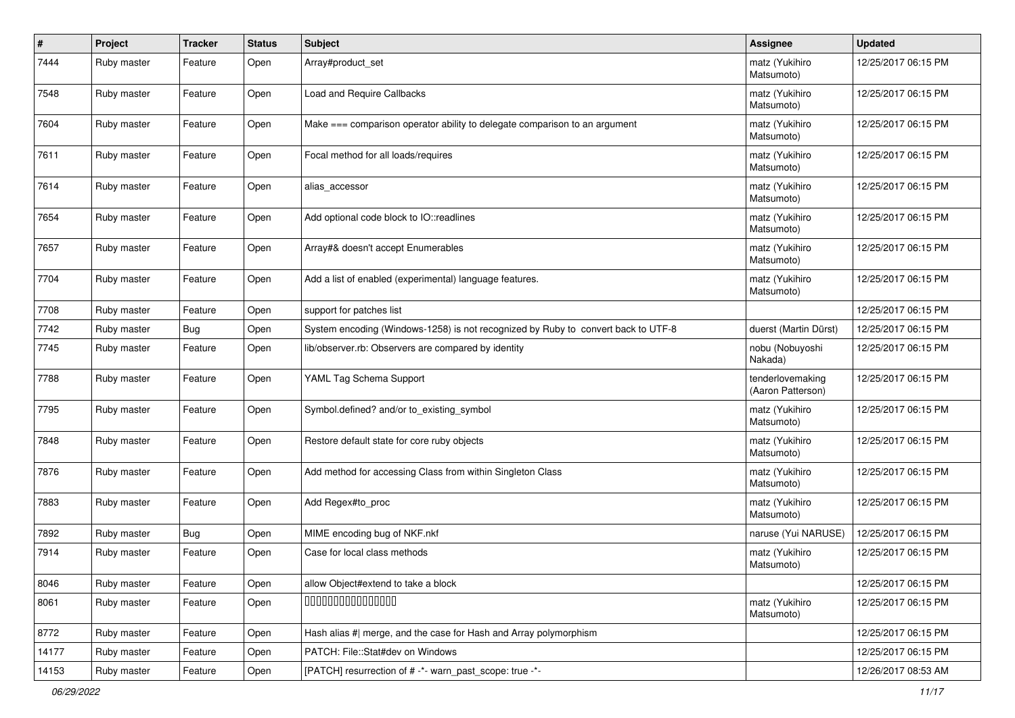| #     | Project     | <b>Tracker</b> | <b>Status</b> | <b>Subject</b>                                                                    | <b>Assignee</b>                       | <b>Updated</b>      |
|-------|-------------|----------------|---------------|-----------------------------------------------------------------------------------|---------------------------------------|---------------------|
| 7444  | Ruby master | Feature        | Open          | Array#product_set                                                                 | matz (Yukihiro<br>Matsumoto)          | 12/25/2017 06:15 PM |
| 7548  | Ruby master | Feature        | Open          | Load and Require Callbacks                                                        | matz (Yukihiro<br>Matsumoto)          | 12/25/2017 06:15 PM |
| 7604  | Ruby master | Feature        | Open          | Make === comparison operator ability to delegate comparison to an argument        | matz (Yukihiro<br>Matsumoto)          | 12/25/2017 06:15 PM |
| 7611  | Ruby master | Feature        | Open          | Focal method for all loads/requires                                               | matz (Yukihiro<br>Matsumoto)          | 12/25/2017 06:15 PM |
| 7614  | Ruby master | Feature        | Open          | alias_accessor                                                                    | matz (Yukihiro<br>Matsumoto)          | 12/25/2017 06:15 PM |
| 7654  | Ruby master | Feature        | Open          | Add optional code block to IO::readlines                                          | matz (Yukihiro<br>Matsumoto)          | 12/25/2017 06:15 PM |
| 7657  | Ruby master | Feature        | Open          | Array#& doesn't accept Enumerables                                                | matz (Yukihiro<br>Matsumoto)          | 12/25/2017 06:15 PM |
| 7704  | Ruby master | Feature        | Open          | Add a list of enabled (experimental) language features.                           | matz (Yukihiro<br>Matsumoto)          | 12/25/2017 06:15 PM |
| 7708  | Ruby master | Feature        | Open          | support for patches list                                                          |                                       | 12/25/2017 06:15 PM |
| 7742  | Ruby master | <b>Bug</b>     | Open          | System encoding (Windows-1258) is not recognized by Ruby to convert back to UTF-8 | duerst (Martin Dürst)                 | 12/25/2017 06:15 PM |
| 7745  | Ruby master | Feature        | Open          | lib/observer.rb: Observers are compared by identity                               | nobu (Nobuyoshi<br>Nakada)            | 12/25/2017 06:15 PM |
| 7788  | Ruby master | Feature        | Open          | YAML Tag Schema Support                                                           | tenderlovemaking<br>(Aaron Patterson) | 12/25/2017 06:15 PM |
| 7795  | Ruby master | Feature        | Open          | Symbol.defined? and/or to_existing_symbol                                         | matz (Yukihiro<br>Matsumoto)          | 12/25/2017 06:15 PM |
| 7848  | Ruby master | Feature        | Open          | Restore default state for core ruby objects                                       | matz (Yukihiro<br>Matsumoto)          | 12/25/2017 06:15 PM |
| 7876  | Ruby master | Feature        | Open          | Add method for accessing Class from within Singleton Class                        | matz (Yukihiro<br>Matsumoto)          | 12/25/2017 06:15 PM |
| 7883  | Ruby master | Feature        | Open          | Add Regex#to_proc                                                                 | matz (Yukihiro<br>Matsumoto)          | 12/25/2017 06:15 PM |
| 7892  | Ruby master | <b>Bug</b>     | Open          | MIME encoding bug of NKF.nkf                                                      | naruse (Yui NARUSE)                   | 12/25/2017 06:15 PM |
| 7914  | Ruby master | Feature        | Open          | Case for local class methods                                                      | matz (Yukihiro<br>Matsumoto)          | 12/25/2017 06:15 PM |
| 8046  | Ruby master | Feature        | Open          | allow Object#extend to take a block                                               |                                       | 12/25/2017 06:15 PM |
| 8061  | Ruby master | Feature        | Open          | 000000000000000                                                                   | matz (Yukihiro<br>Matsumoto)          | 12/25/2017 06:15 PM |
| 8772  | Ruby master | Feature        | Open          | Hash alias #  merge, and the case for Hash and Array polymorphism                 |                                       | 12/25/2017 06:15 PM |
| 14177 | Ruby master | Feature        | Open          | PATCH: File::Stat#dev on Windows                                                  |                                       | 12/25/2017 06:15 PM |
| 14153 | Ruby master | Feature        | Open          | [PATCH] resurrection of # -*- warn_past_scope: true -*-                           |                                       | 12/26/2017 08:53 AM |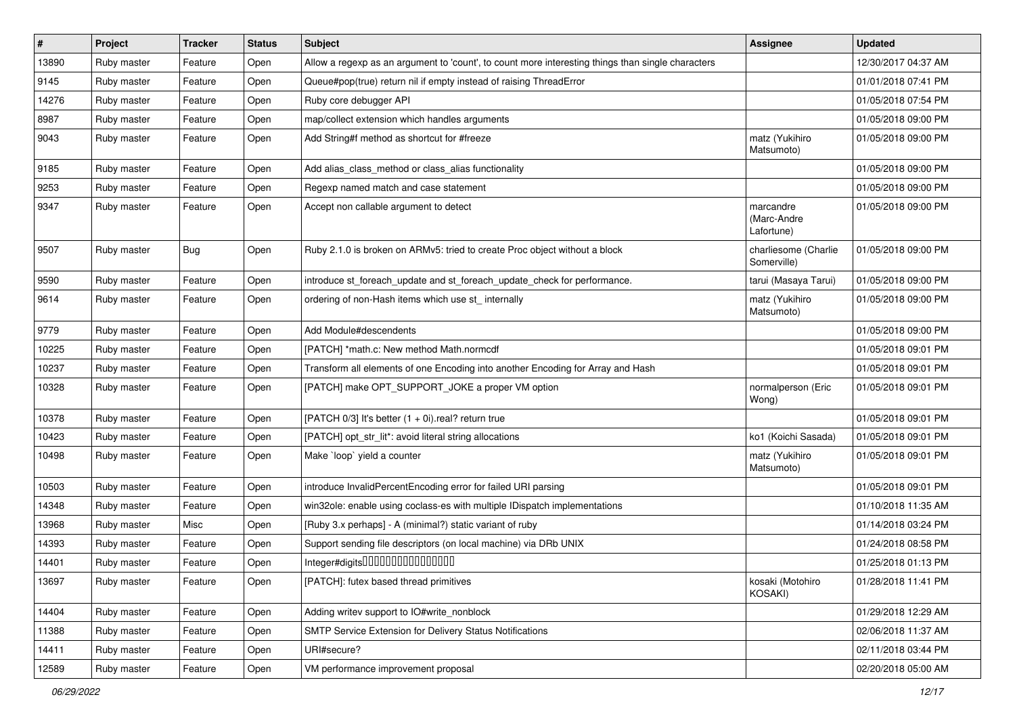| $\vert$ # | Project     | <b>Tracker</b> | <b>Status</b> | <b>Subject</b>                                                                                    | <b>Assignee</b>                        | <b>Updated</b>      |
|-----------|-------------|----------------|---------------|---------------------------------------------------------------------------------------------------|----------------------------------------|---------------------|
| 13890     | Ruby master | Feature        | Open          | Allow a regexp as an argument to 'count', to count more interesting things than single characters |                                        | 12/30/2017 04:37 AM |
| 9145      | Ruby master | Feature        | Open          | Queue#pop(true) return nil if empty instead of raising ThreadError                                |                                        | 01/01/2018 07:41 PM |
| 14276     | Ruby master | Feature        | Open          | Ruby core debugger API                                                                            |                                        | 01/05/2018 07:54 PM |
| 8987      | Ruby master | Feature        | Open          | map/collect extension which handles arguments                                                     |                                        | 01/05/2018 09:00 PM |
| 9043      | Ruby master | Feature        | Open          | Add String#f method as shortcut for #freeze                                                       | matz (Yukihiro<br>Matsumoto)           | 01/05/2018 09:00 PM |
| 9185      | Ruby master | Feature        | Open          | Add alias_class_method or class_alias functionality                                               |                                        | 01/05/2018 09:00 PM |
| 9253      | Ruby master | Feature        | Open          | Regexp named match and case statement                                                             |                                        | 01/05/2018 09:00 PM |
| 9347      | Ruby master | Feature        | Open          | Accept non callable argument to detect                                                            | marcandre<br>(Marc-Andre<br>Lafortune) | 01/05/2018 09:00 PM |
| 9507      | Ruby master | <b>Bug</b>     | Open          | Ruby 2.1.0 is broken on ARMv5: tried to create Proc object without a block                        | charliesome (Charlie<br>Somerville)    | 01/05/2018 09:00 PM |
| 9590      | Ruby master | Feature        | Open          | introduce st foreach update and st foreach update check for performance.                          | tarui (Masaya Tarui)                   | 01/05/2018 09:00 PM |
| 9614      | Ruby master | Feature        | Open          | ordering of non-Hash items which use st_ internally                                               | matz (Yukihiro<br>Matsumoto)           | 01/05/2018 09:00 PM |
| 9779      | Ruby master | Feature        | Open          | Add Module#descendents                                                                            |                                        | 01/05/2018 09:00 PM |
| 10225     | Ruby master | Feature        | Open          | [PATCH] *math.c: New method Math.normcdf                                                          |                                        | 01/05/2018 09:01 PM |
| 10237     | Ruby master | Feature        | Open          | Transform all elements of one Encoding into another Encoding for Array and Hash                   |                                        | 01/05/2018 09:01 PM |
| 10328     | Ruby master | Feature        | Open          | [PATCH] make OPT_SUPPORT_JOKE a proper VM option                                                  | normalperson (Eric<br>Wong)            | 01/05/2018 09:01 PM |
| 10378     | Ruby master | Feature        | Open          | [PATCH 0/3] It's better $(1 + 0i)$ real? return true                                              |                                        | 01/05/2018 09:01 PM |
| 10423     | Ruby master | Feature        | Open          | [PATCH] opt_str_lit*: avoid literal string allocations                                            | ko1 (Koichi Sasada)                    | 01/05/2018 09:01 PM |
| 10498     | Ruby master | Feature        | Open          | Make `loop` yield a counter                                                                       | matz (Yukihiro<br>Matsumoto)           | 01/05/2018 09:01 PM |
| 10503     | Ruby master | Feature        | Open          | introduce InvalidPercentEncoding error for failed URI parsing                                     |                                        | 01/05/2018 09:01 PM |
| 14348     | Ruby master | Feature        | Open          | win32ole: enable using coclass-es with multiple IDispatch implementations                         |                                        | 01/10/2018 11:35 AM |
| 13968     | Ruby master | Misc           | Open          | [Ruby 3.x perhaps] - A (minimal?) static variant of ruby                                          |                                        | 01/14/2018 03:24 PM |
| 14393     | Ruby master | Feature        | Open          | Support sending file descriptors (on local machine) via DRb UNIX                                  |                                        | 01/24/2018 08:58 PM |
| 14401     | Ruby master | Feature        | Open          | Integer#digits000000000000000                                                                     |                                        | 01/25/2018 01:13 PM |
| 13697     | Ruby master | Feature        | Open          | [PATCH]: futex based thread primitives                                                            | kosaki (Motohiro<br>KOSAKI)            | 01/28/2018 11:41 PM |
| 14404     | Ruby master | Feature        | Open          | Adding writev support to IO#write_nonblock                                                        |                                        | 01/29/2018 12:29 AM |
| 11388     | Ruby master | Feature        | Open          | SMTP Service Extension for Delivery Status Notifications                                          |                                        | 02/06/2018 11:37 AM |
| 14411     | Ruby master | Feature        | Open          | URI#secure?                                                                                       |                                        | 02/11/2018 03:44 PM |
| 12589     | Ruby master | Feature        | Open          | VM performance improvement proposal                                                               |                                        | 02/20/2018 05:00 AM |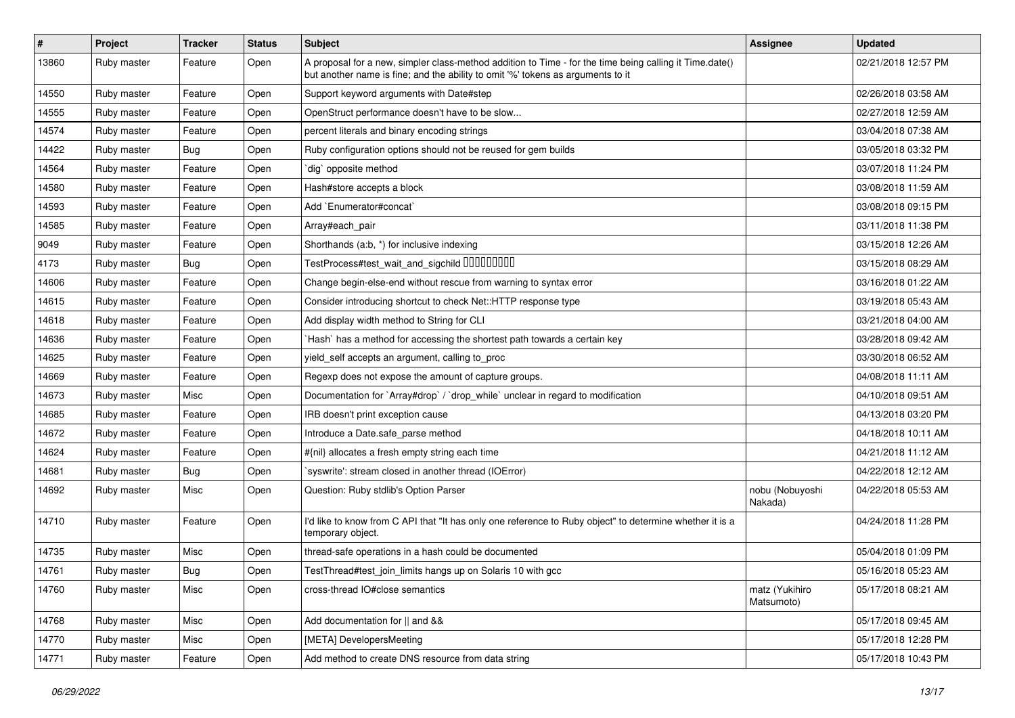| $\sharp$ | Project     | <b>Tracker</b> | <b>Status</b> | <b>Subject</b>                                                                                                                                                                             | Assignee                     | <b>Updated</b>      |
|----------|-------------|----------------|---------------|--------------------------------------------------------------------------------------------------------------------------------------------------------------------------------------------|------------------------------|---------------------|
| 13860    | Ruby master | Feature        | Open          | A proposal for a new, simpler class-method addition to Time - for the time being calling it Time.date()<br>but another name is fine; and the ability to omit '%' tokens as arguments to it |                              | 02/21/2018 12:57 PM |
| 14550    | Ruby master | Feature        | Open          | Support keyword arguments with Date#step                                                                                                                                                   |                              | 02/26/2018 03:58 AM |
| 14555    | Ruby master | Feature        | Open          | OpenStruct performance doesn't have to be slow                                                                                                                                             |                              | 02/27/2018 12:59 AM |
| 14574    | Ruby master | Feature        | Open          | percent literals and binary encoding strings                                                                                                                                               |                              | 03/04/2018 07:38 AM |
| 14422    | Ruby master | <b>Bug</b>     | Open          | Ruby configuration options should not be reused for gem builds                                                                                                                             |                              | 03/05/2018 03:32 PM |
| 14564    | Ruby master | Feature        | Open          | dig` opposite method                                                                                                                                                                       |                              | 03/07/2018 11:24 PM |
| 14580    | Ruby master | Feature        | Open          | Hash#store accepts a block                                                                                                                                                                 |                              | 03/08/2018 11:59 AM |
| 14593    | Ruby master | Feature        | Open          | Add `Enumerator#concat`                                                                                                                                                                    |                              | 03/08/2018 09:15 PM |
| 14585    | Ruby master | Feature        | Open          | Array#each_pair                                                                                                                                                                            |                              | 03/11/2018 11:38 PM |
| 9049     | Ruby master | Feature        | Open          | Shorthands (a:b, *) for inclusive indexing                                                                                                                                                 |                              | 03/15/2018 12:26 AM |
| 4173     | Ruby master | <b>Bug</b>     | Open          | TestProcess#test_wait_and_sigchild 00000000                                                                                                                                                |                              | 03/15/2018 08:29 AM |
| 14606    | Ruby master | Feature        | Open          | Change begin-else-end without rescue from warning to syntax error                                                                                                                          |                              | 03/16/2018 01:22 AM |
| 14615    | Ruby master | Feature        | Open          | Consider introducing shortcut to check Net::HTTP response type                                                                                                                             |                              | 03/19/2018 05:43 AM |
| 14618    | Ruby master | Feature        | Open          | Add display width method to String for CLI                                                                                                                                                 |                              | 03/21/2018 04:00 AM |
| 14636    | Ruby master | Feature        | Open          | Hash` has a method for accessing the shortest path towards a certain key                                                                                                                   |                              | 03/28/2018 09:42 AM |
| 14625    | Ruby master | Feature        | Open          | yield_self accepts an argument, calling to_proc                                                                                                                                            |                              | 03/30/2018 06:52 AM |
| 14669    | Ruby master | Feature        | Open          | Regexp does not expose the amount of capture groups.                                                                                                                                       |                              | 04/08/2018 11:11 AM |
| 14673    | Ruby master | Misc           | Open          | Documentation for `Array#drop` / `drop_while` unclear in regard to modification                                                                                                            |                              | 04/10/2018 09:51 AM |
| 14685    | Ruby master | Feature        | Open          | IRB doesn't print exception cause                                                                                                                                                          |                              | 04/13/2018 03:20 PM |
| 14672    | Ruby master | Feature        | Open          | Introduce a Date.safe parse method                                                                                                                                                         |                              | 04/18/2018 10:11 AM |
| 14624    | Ruby master | Feature        | Open          | #{nil} allocates a fresh empty string each time                                                                                                                                            |                              | 04/21/2018 11:12 AM |
| 14681    | Ruby master | <b>Bug</b>     | Open          | `syswrite': stream closed in another thread (IOError)                                                                                                                                      |                              | 04/22/2018 12:12 AM |
| 14692    | Ruby master | Misc           | Open          | Question: Ruby stdlib's Option Parser                                                                                                                                                      | nobu (Nobuyoshi<br>Nakada)   | 04/22/2018 05:53 AM |
| 14710    | Ruby master | Feature        | Open          | I'd like to know from C API that "It has only one reference to Ruby object" to determine whether it is a<br>temporary object.                                                              |                              | 04/24/2018 11:28 PM |
| 14735    | Ruby master | Misc           | Open          | thread-safe operations in a hash could be documented                                                                                                                                       |                              | 05/04/2018 01:09 PM |
| 14761    | Ruby master | Bug            | Open          | TestThread#test_join_limits hangs up on Solaris 10 with gcc                                                                                                                                |                              | 05/16/2018 05:23 AM |
| 14760    | Ruby master | Misc           | Open          | cross-thread IO#close semantics                                                                                                                                                            | matz (Yukihiro<br>Matsumoto) | 05/17/2018 08:21 AM |
| 14768    | Ruby master | Misc           | Open          | Add documentation for    and &&                                                                                                                                                            |                              | 05/17/2018 09:45 AM |
| 14770    | Ruby master | Misc           | Open          | [META] DevelopersMeeting                                                                                                                                                                   |                              | 05/17/2018 12:28 PM |
| 14771    | Ruby master | Feature        | Open          | Add method to create DNS resource from data string                                                                                                                                         |                              | 05/17/2018 10:43 PM |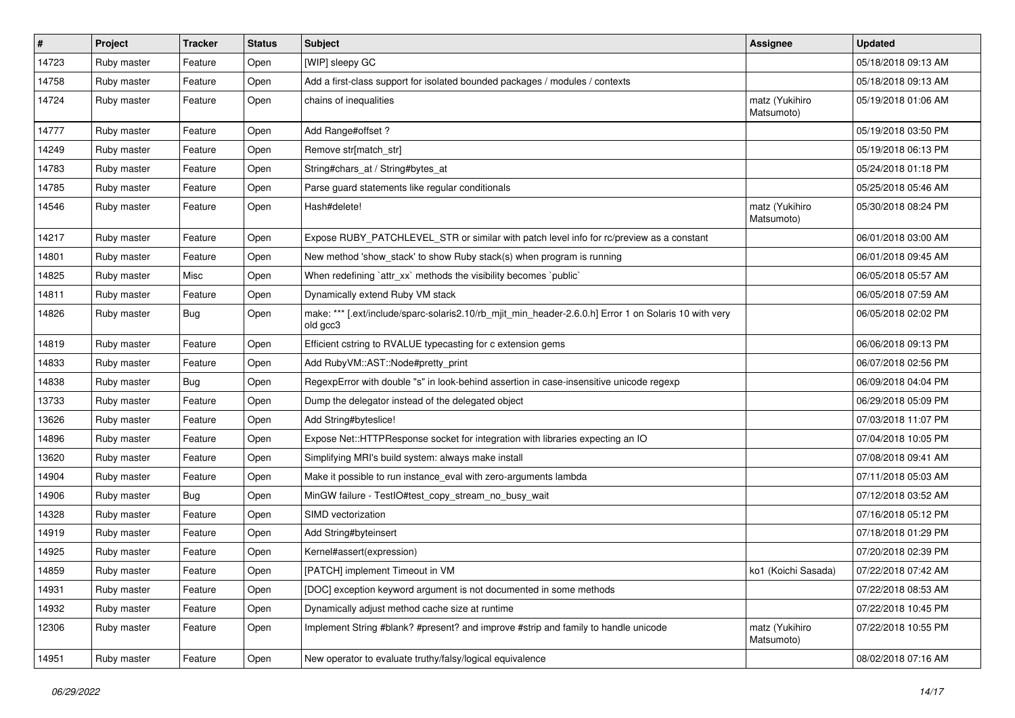| #     | Project     | <b>Tracker</b> | <b>Status</b> | Subject                                                                                                           | <b>Assignee</b>              | <b>Updated</b>      |
|-------|-------------|----------------|---------------|-------------------------------------------------------------------------------------------------------------------|------------------------------|---------------------|
| 14723 | Ruby master | Feature        | Open          | [WIP] sleepy GC                                                                                                   |                              | 05/18/2018 09:13 AM |
| 14758 | Ruby master | Feature        | Open          | Add a first-class support for isolated bounded packages / modules / contexts                                      |                              | 05/18/2018 09:13 AM |
| 14724 | Ruby master | Feature        | Open          | chains of inequalities                                                                                            | matz (Yukihiro<br>Matsumoto) | 05/19/2018 01:06 AM |
| 14777 | Ruby master | Feature        | Open          | Add Range#offset ?                                                                                                |                              | 05/19/2018 03:50 PM |
| 14249 | Ruby master | Feature        | Open          | Remove str[match_str]                                                                                             |                              | 05/19/2018 06:13 PM |
| 14783 | Ruby master | Feature        | Open          | String#chars_at / String#bytes_at                                                                                 |                              | 05/24/2018 01:18 PM |
| 14785 | Ruby master | Feature        | Open          | Parse guard statements like regular conditionals                                                                  |                              | 05/25/2018 05:46 AM |
| 14546 | Ruby master | Feature        | Open          | Hash#delete!                                                                                                      | matz (Yukihiro<br>Matsumoto) | 05/30/2018 08:24 PM |
| 14217 | Ruby master | Feature        | Open          | Expose RUBY_PATCHLEVEL_STR or similar with patch level info for rc/preview as a constant                          |                              | 06/01/2018 03:00 AM |
| 14801 | Ruby master | Feature        | Open          | New method 'show_stack' to show Ruby stack(s) when program is running                                             |                              | 06/01/2018 09:45 AM |
| 14825 | Ruby master | Misc           | Open          | When redefining 'attr_xx' methods the visibility becomes 'public'                                                 |                              | 06/05/2018 05:57 AM |
| 14811 | Ruby master | Feature        | Open          | Dynamically extend Ruby VM stack                                                                                  |                              | 06/05/2018 07:59 AM |
| 14826 | Ruby master | <b>Bug</b>     | Open          | make: *** [.ext/include/sparc-solaris2.10/rb_mjit_min_header-2.6.0.h] Error 1 on Solaris 10 with very<br>old gcc3 |                              | 06/05/2018 02:02 PM |
| 14819 | Ruby master | Feature        | Open          | Efficient cstring to RVALUE typecasting for c extension gems                                                      |                              | 06/06/2018 09:13 PM |
| 14833 | Ruby master | Feature        | Open          | Add RubyVM::AST::Node#pretty_print                                                                                |                              | 06/07/2018 02:56 PM |
| 14838 | Ruby master | <b>Bug</b>     | Open          | RegexpError with double "s" in look-behind assertion in case-insensitive unicode regexp                           |                              | 06/09/2018 04:04 PM |
| 13733 | Ruby master | Feature        | Open          | Dump the delegator instead of the delegated object                                                                |                              | 06/29/2018 05:09 PM |
| 13626 | Ruby master | Feature        | Open          | Add String#byteslice!                                                                                             |                              | 07/03/2018 11:07 PM |
| 14896 | Ruby master | Feature        | Open          | Expose Net::HTTPResponse socket for integration with libraries expecting an IO                                    |                              | 07/04/2018 10:05 PM |
| 13620 | Ruby master | Feature        | Open          | Simplifying MRI's build system: always make install                                                               |                              | 07/08/2018 09:41 AM |
| 14904 | Ruby master | Feature        | Open          | Make it possible to run instance_eval with zero-arguments lambda                                                  |                              | 07/11/2018 05:03 AM |
| 14906 | Ruby master | Bug            | Open          | MinGW failure - TestIO#test_copy_stream_no_busy_wait                                                              |                              | 07/12/2018 03:52 AM |
| 14328 | Ruby master | Feature        | Open          | SIMD vectorization                                                                                                |                              | 07/16/2018 05:12 PM |
| 14919 | Ruby master | Feature        | Open          | Add String#byteinsert                                                                                             |                              | 07/18/2018 01:29 PM |
| 14925 | Ruby master | Feature        | Open          | Kernel#assert(expression)                                                                                         |                              | 07/20/2018 02:39 PM |
| 14859 | Ruby master | Feature        | Open          | [PATCH] implement Timeout in VM                                                                                   | ko1 (Koichi Sasada)          | 07/22/2018 07:42 AM |
| 14931 | Ruby master | Feature        | Open          | [DOC] exception keyword argument is not documented in some methods                                                |                              | 07/22/2018 08:53 AM |
| 14932 | Ruby master | Feature        | Open          | Dynamically adjust method cache size at runtime                                                                   |                              | 07/22/2018 10:45 PM |
| 12306 | Ruby master | Feature        | Open          | Implement String #blank? #present? and improve #strip and family to handle unicode                                | matz (Yukihiro<br>Matsumoto) | 07/22/2018 10:55 PM |
| 14951 | Ruby master | Feature        | Open          | New operator to evaluate truthy/falsy/logical equivalence                                                         |                              | 08/02/2018 07:16 AM |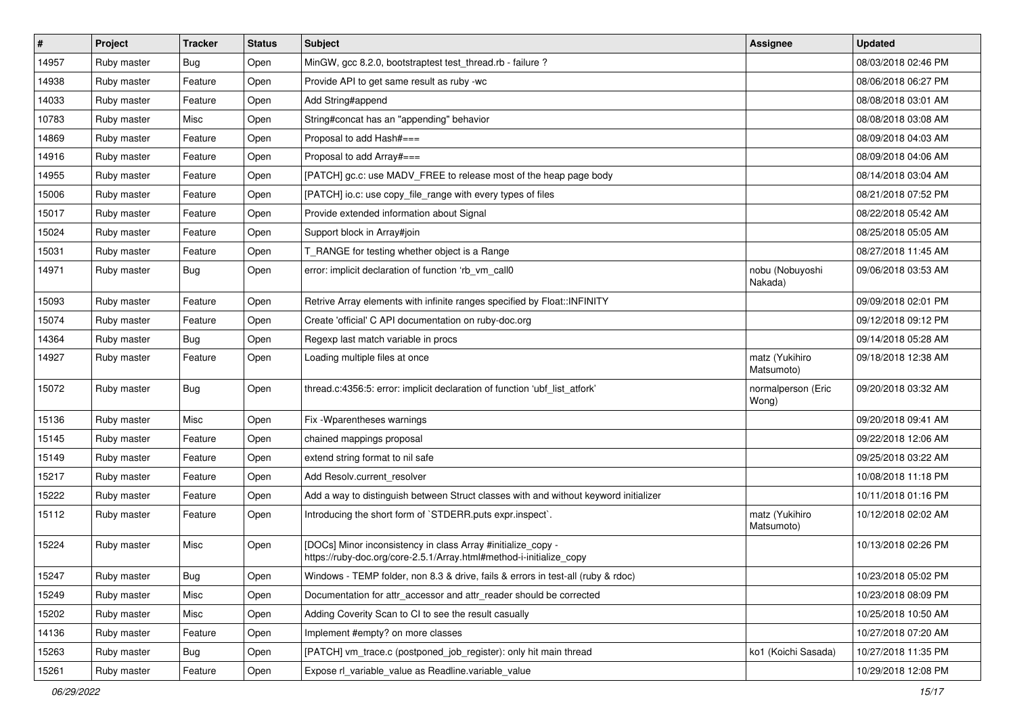| $\vert$ # | Project     | <b>Tracker</b> | <b>Status</b> | <b>Subject</b>                                                                                                                      | <b>Assignee</b>              | <b>Updated</b>      |
|-----------|-------------|----------------|---------------|-------------------------------------------------------------------------------------------------------------------------------------|------------------------------|---------------------|
| 14957     | Ruby master | <b>Bug</b>     | Open          | MinGW, gcc 8.2.0, bootstraptest test_thread.rb - failure ?                                                                          |                              | 08/03/2018 02:46 PM |
| 14938     | Ruby master | Feature        | Open          | Provide API to get same result as ruby -wc                                                                                          |                              | 08/06/2018 06:27 PM |
| 14033     | Ruby master | Feature        | Open          | Add String#append                                                                                                                   |                              | 08/08/2018 03:01 AM |
| 10783     | Ruby master | Misc           | Open          | String#concat has an "appending" behavior                                                                                           |                              | 08/08/2018 03:08 AM |
| 14869     | Ruby master | Feature        | Open          | Proposal to add Hash#===                                                                                                            |                              | 08/09/2018 04:03 AM |
| 14916     | Ruby master | Feature        | Open          | Proposal to add Array#===                                                                                                           |                              | 08/09/2018 04:06 AM |
| 14955     | Ruby master | Feature        | Open          | [PATCH] gc.c: use MADV_FREE to release most of the heap page body                                                                   |                              | 08/14/2018 03:04 AM |
| 15006     | Ruby master | Feature        | Open          | [PATCH] io.c: use copy_file_range with every types of files                                                                         |                              | 08/21/2018 07:52 PM |
| 15017     | Ruby master | Feature        | Open          | Provide extended information about Signal                                                                                           |                              | 08/22/2018 05:42 AM |
| 15024     | Ruby master | Feature        | Open          | Support block in Array#join                                                                                                         |                              | 08/25/2018 05:05 AM |
| 15031     | Ruby master | Feature        | Open          | T_RANGE for testing whether object is a Range                                                                                       |                              | 08/27/2018 11:45 AM |
| 14971     | Ruby master | <b>Bug</b>     | Open          | error: implicit declaration of function 'rb_vm_call0                                                                                | nobu (Nobuyoshi<br>Nakada)   | 09/06/2018 03:53 AM |
| 15093     | Ruby master | Feature        | Open          | Retrive Array elements with infinite ranges specified by Float:: INFINITY                                                           |                              | 09/09/2018 02:01 PM |
| 15074     | Ruby master | Feature        | Open          | Create 'official' C API documentation on ruby-doc.org                                                                               |                              | 09/12/2018 09:12 PM |
| 14364     | Ruby master | Bug            | Open          | Regexp last match variable in procs                                                                                                 |                              | 09/14/2018 05:28 AM |
| 14927     | Ruby master | Feature        | Open          | Loading multiple files at once                                                                                                      | matz (Yukihiro<br>Matsumoto) | 09/18/2018 12:38 AM |
| 15072     | Ruby master | <b>Bug</b>     | Open          | thread.c:4356:5: error: implicit declaration of function 'ubf_list_atfork'                                                          | normalperson (Eric<br>Wong)  | 09/20/2018 03:32 AM |
| 15136     | Ruby master | Misc           | Open          | Fix -Wparentheses warnings                                                                                                          |                              | 09/20/2018 09:41 AM |
| 15145     | Ruby master | Feature        | Open          | chained mappings proposal                                                                                                           |                              | 09/22/2018 12:06 AM |
| 15149     | Ruby master | Feature        | Open          | extend string format to nil safe                                                                                                    |                              | 09/25/2018 03:22 AM |
| 15217     | Ruby master | Feature        | Open          | Add Resolv.current_resolver                                                                                                         |                              | 10/08/2018 11:18 PM |
| 15222     | Ruby master | Feature        | Open          | Add a way to distinguish between Struct classes with and without keyword initializer                                                |                              | 10/11/2018 01:16 PM |
| 15112     | Ruby master | Feature        | Open          | Introducing the short form of `STDERR.puts expr.inspect`.                                                                           | matz (Yukihiro<br>Matsumoto) | 10/12/2018 02:02 AM |
| 15224     | Ruby master | Misc           | Open          | [DOCs] Minor inconsistency in class Array #initialize_copy -<br>https://ruby-doc.org/core-2.5.1/Array.html#method-i-initialize_copy |                              | 10/13/2018 02:26 PM |
| 15247     | Ruby master | <b>Bug</b>     | Open          | Windows - TEMP folder, non 8.3 & drive, fails & errors in test-all (ruby & rdoc)                                                    |                              | 10/23/2018 05:02 PM |
| 15249     | Ruby master | Misc           | Open          | Documentation for attr_accessor and attr_reader should be corrected                                                                 |                              | 10/23/2018 08:09 PM |
| 15202     | Ruby master | Misc           | Open          | Adding Coverity Scan to CI to see the result casually                                                                               |                              | 10/25/2018 10:50 AM |
| 14136     | Ruby master | Feature        | Open          | Implement #empty? on more classes                                                                                                   |                              | 10/27/2018 07:20 AM |
| 15263     | Ruby master | Bug            | Open          | [PATCH] vm trace.c (postponed job register): only hit main thread                                                                   | ko1 (Koichi Sasada)          | 10/27/2018 11:35 PM |
| 15261     | Ruby master | Feature        | Open          | Expose rl_variable_value as Readline.variable_value                                                                                 |                              | 10/29/2018 12:08 PM |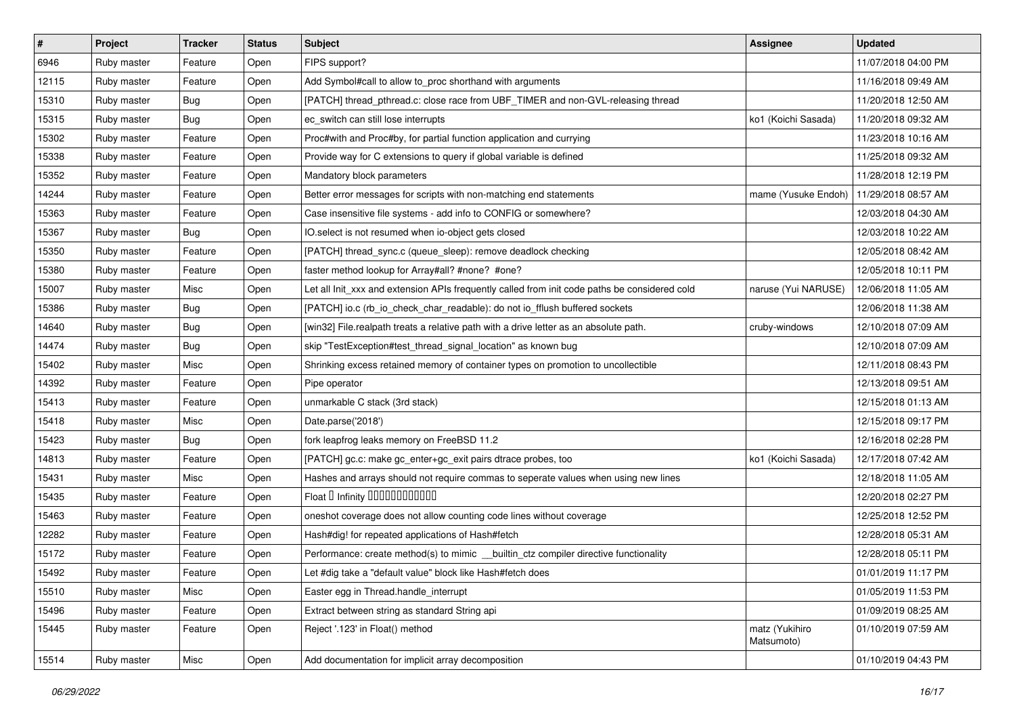| #     | Project     | <b>Tracker</b> | <b>Status</b> | Subject                                                                                       | Assignee                     | <b>Updated</b>      |
|-------|-------------|----------------|---------------|-----------------------------------------------------------------------------------------------|------------------------------|---------------------|
| 6946  | Ruby master | Feature        | Open          | FIPS support?                                                                                 |                              | 11/07/2018 04:00 PM |
| 12115 | Ruby master | Feature        | Open          | Add Symbol#call to allow to_proc shorthand with arguments                                     |                              | 11/16/2018 09:49 AM |
| 15310 | Ruby master | Bug            | Open          | [PATCH] thread_pthread.c: close race from UBF_TIMER and non-GVL-releasing thread              |                              | 11/20/2018 12:50 AM |
| 15315 | Ruby master | Bug            | Open          | ec_switch can still lose interrupts                                                           | ko1 (Koichi Sasada)          | 11/20/2018 09:32 AM |
| 15302 | Ruby master | Feature        | Open          | Proc#with and Proc#by, for partial function application and currying                          |                              | 11/23/2018 10:16 AM |
| 15338 | Ruby master | Feature        | Open          | Provide way for C extensions to query if global variable is defined                           |                              | 11/25/2018 09:32 AM |
| 15352 | Ruby master | Feature        | Open          | Mandatory block parameters                                                                    |                              | 11/28/2018 12:19 PM |
| 14244 | Ruby master | Feature        | Open          | Better error messages for scripts with non-matching end statements                            | mame (Yusuke Endoh)          | 11/29/2018 08:57 AM |
| 15363 | Ruby master | Feature        | Open          | Case insensitive file systems - add info to CONFIG or somewhere?                              |                              | 12/03/2018 04:30 AM |
| 15367 | Ruby master | <b>Bug</b>     | Open          | IO.select is not resumed when io-object gets closed                                           |                              | 12/03/2018 10:22 AM |
| 15350 | Ruby master | Feature        | Open          | [PATCH] thread_sync.c (queue_sleep): remove deadlock checking                                 |                              | 12/05/2018 08:42 AM |
| 15380 | Ruby master | Feature        | Open          | faster method lookup for Array#all? #none? #one?                                              |                              | 12/05/2018 10:11 PM |
| 15007 | Ruby master | Misc           | Open          | Let all Init_xxx and extension APIs frequently called from init code paths be considered cold | naruse (Yui NARUSE)          | 12/06/2018 11:05 AM |
| 15386 | Ruby master | Bug            | Open          | [PATCH] io.c (rb_io_check_char_readable): do not io_fflush buffered sockets                   |                              | 12/06/2018 11:38 AM |
| 14640 | Ruby master | <b>Bug</b>     | Open          | [win32] File.realpath treats a relative path with a drive letter as an absolute path.         | cruby-windows                | 12/10/2018 07:09 AM |
| 14474 | Ruby master | Bug            | Open          | skip "TestException#test_thread_signal_location" as known bug                                 |                              | 12/10/2018 07:09 AM |
| 15402 | Ruby master | Misc           | Open          | Shrinking excess retained memory of container types on promotion to uncollectible             |                              | 12/11/2018 08:43 PM |
| 14392 | Ruby master | Feature        | Open          | Pipe operator                                                                                 |                              | 12/13/2018 09:51 AM |
| 15413 | Ruby master | Feature        | Open          | unmarkable C stack (3rd stack)                                                                |                              | 12/15/2018 01:13 AM |
| 15418 | Ruby master | Misc           | Open          | Date.parse('2018')                                                                            |                              | 12/15/2018 09:17 PM |
| 15423 | Ruby master | Bug            | Open          | fork leapfrog leaks memory on FreeBSD 11.2                                                    |                              | 12/16/2018 02:28 PM |
| 14813 | Ruby master | Feature        | Open          | [PATCH] gc.c: make gc_enter+gc_exit pairs dtrace probes, too                                  | ko1 (Koichi Sasada)          | 12/17/2018 07:42 AM |
| 15431 | Ruby master | Misc           | Open          | Hashes and arrays should not require commas to seperate values when using new lines           |                              | 12/18/2018 11:05 AM |
| 15435 | Ruby master | Feature        | Open          | Float D Infinity 000000000000                                                                 |                              | 12/20/2018 02:27 PM |
| 15463 | Ruby master | Feature        | Open          | oneshot coverage does not allow counting code lines without coverage                          |                              | 12/25/2018 12:52 PM |
| 12282 | Ruby master | Feature        | Open          | Hash#dig! for repeated applications of Hash#fetch                                             |                              | 12/28/2018 05:31 AM |
| 15172 | Ruby master | Feature        | Open          | Performance: create method(s) to mimic _builtin_ctz compiler directive functionality          |                              | 12/28/2018 05:11 PM |
| 15492 | Ruby master | Feature        | Open          | Let #dig take a "default value" block like Hash#fetch does                                    |                              | 01/01/2019 11:17 PM |
| 15510 | Ruby master | Misc           | Open          | Easter egg in Thread.handle interrupt                                                         |                              | 01/05/2019 11:53 PM |
| 15496 | Ruby master | Feature        | Open          | Extract between string as standard String api                                                 |                              | 01/09/2019 08:25 AM |
| 15445 | Ruby master | Feature        | Open          | Reject '.123' in Float() method                                                               | matz (Yukihiro<br>Matsumoto) | 01/10/2019 07:59 AM |
| 15514 | Ruby master | Misc           | Open          | Add documentation for implicit array decomposition                                            |                              | 01/10/2019 04:43 PM |